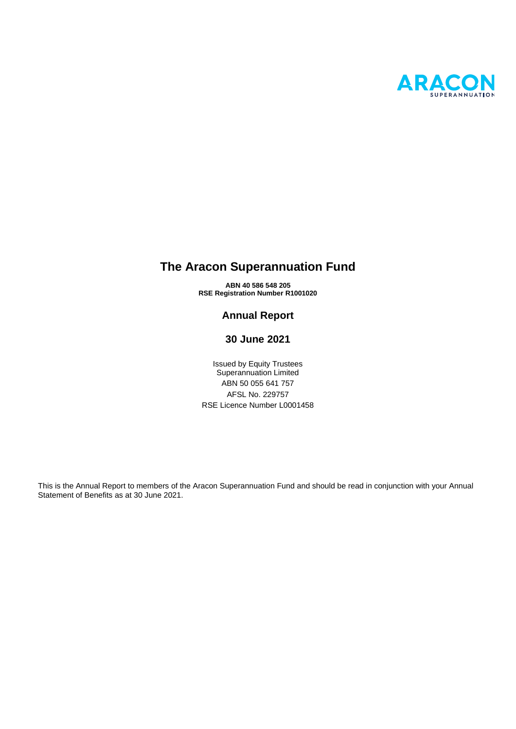

# **The Aracon Superannuation Fund**

**ABN 40 586 548 205 RSE Registration Number R1001020**

## **Annual Report**

## **30 June 2021**

Issued by Equity Trustees Superannuation Limited ABN 50 055 641 757 AFSL No. 229757 RSE Licence Number L0001458

This is the Annual Report to members of the Aracon Superannuation Fund and should be read in conjunction with your Annual Statement of Benefits as at 30 June 2021.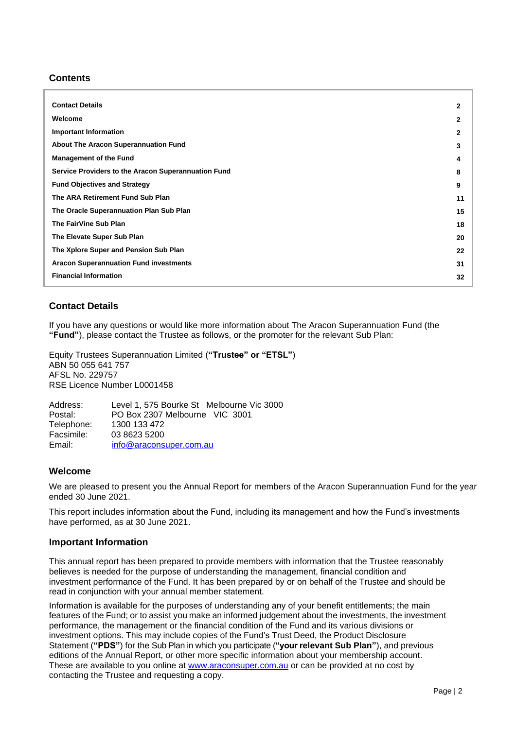## **Contents**

| <b>Contact Details</b>                              | 2  |
|-----------------------------------------------------|----|
| Welcome                                             | 2  |
| <b>Important Information</b>                        | 2  |
| <b>About The Aracon Superannuation Fund</b>         | 3  |
| <b>Management of the Fund</b>                       | 4  |
| Service Providers to the Aracon Superannuation Fund | 8  |
| <b>Fund Objectives and Strategy</b>                 | 9  |
| The ARA Retirement Fund Sub Plan                    | 11 |
| The Oracle Superannuation Plan Sub Plan             | 15 |
| The FairVine Sub Plan                               | 18 |
| The Elevate Super Sub Plan                          | 20 |
| The Xplore Super and Pension Sub Plan               | 22 |
| <b>Aracon Superannuation Fund investments</b>       | 31 |
| <b>Financial Information</b>                        | 32 |
|                                                     |    |

## <span id="page-1-0"></span>**Contact Details**

If you have any questions or would like more information about The Aracon Superannuation Fund (the **"Fund"**), please contact the Trustee as follows, or the promoter for the relevant Sub Plan:

Equity Trustees Superannuation Limited (**"Trustee" or "ETSL"**) ABN 50 055 641 757 AFSL No. 229757 RSE Licence Number L0001458

Address: Level 1, 575 Bourke St Melbourne Vic 3000 Postal: PO Box 2307 Melbourne VIC 3001 Telephone: 1300 133 472<br>Facsimile: 03 8623 5200 03 8623 5200 Email: [info@araconsuper.com.au](mailto:info@araconsuper.com.au)

## <span id="page-1-1"></span>**Welcome**

We are pleased to present you the Annual Report for members of the Aracon Superannuation Fund for the year ended 30 June 2021.

This report includes information about the Fund, including its management and how the Fund's investments have performed, as at 30 June 2021.

#### <span id="page-1-2"></span>**Important Information**

This annual report has been prepared to provide members with information that the Trustee reasonably believes is needed for the purpose of understanding the management, financial condition and investment performance of the Fund. It has been prepared by or on behalf of the Trustee and should be read in conjunction with your annual member statement.

Information is available for the purposes of understanding any of your benefit entitlements; the main features of the Fund; or to assist you make an informed judgement about the investments, the investment performance, the management or the financial condition of the Fund and its various divisions or investment options. This may include copies of the Fund's Trust Deed, the Product Disclosure Statement (**"PDS"**) for the Sub Plan in which you participate (**"your relevant Sub Plan"**), and previous editions of the Annual Report, or other more specific information about your membership account. These are available to you online at [www.araconsuper.com.au](http://www.araconsuper.com.au/) or can be provided at no cost by contacting the Trustee and requesting a copy.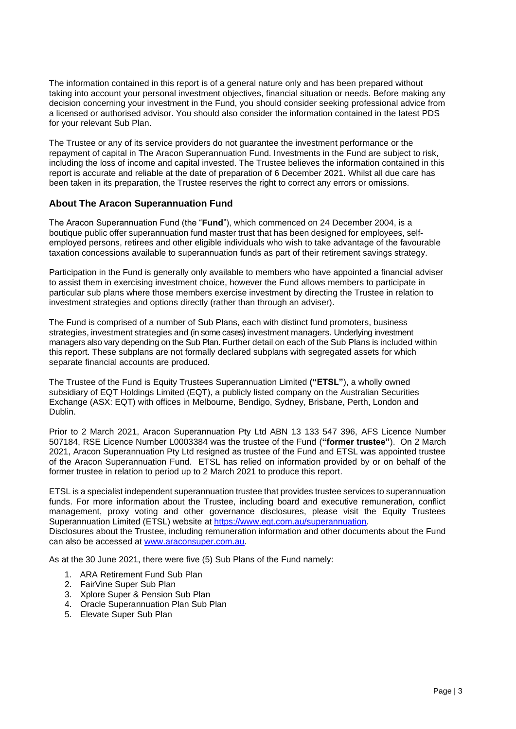The information contained in this report is of a general nature only and has been prepared without taking into account your personal investment objectives, financial situation or needs. Before making any decision concerning your investment in the Fund, you should consider seeking professional advice from a licensed or authorised advisor. You should also consider the information contained in the latest PDS for your relevant Sub Plan.

The Trustee or any of its service providers do not guarantee the investment performance or the repayment of capital in The Aracon Superannuation Fund. Investments in the Fund are subject to risk, including the loss of income and capital invested. The Trustee believes the information contained in this report is accurate and reliable at the date of preparation of 6 December 2021. Whilst all due care has been taken in its preparation, the Trustee reserves the right to correct any errors or omissions.

## <span id="page-2-0"></span>**About The Aracon Superannuation Fund**

The Aracon Superannuation Fund (the "**Fund**"), which commenced on 24 December 2004, is a boutique public offer superannuation fund master trust that has been designed for employees, selfemployed persons, retirees and other eligible individuals who wish to take advantage of the favourable taxation concessions available to superannuation funds as part of their retirement savings strategy.

Participation in the Fund is generally only available to members who have appointed a financial adviser to assist them in exercising investment choice, however the Fund allows members to participate in particular sub plans where those members exercise investment by directing the Trustee in relation to investment strategies and options directly (rather than through an adviser).

The Fund is comprised of a number of Sub Plans, each with distinct fund promoters, business strategies, investment strategies and (in some cases) investment managers. Underlying investment managers also vary depending on the Sub Plan. Further detail on each of the Sub Plans is included within this report. These subplans are not formally declared subplans with segregated assets for which separate financial accounts are produced.

The Trustee of the Fund is Equity Trustees Superannuation Limited **("ETSL"**), a wholly owned subsidiary of EQT Holdings Limited (EQT), a publicly listed company on the Australian Securities Exchange (ASX: EQT) with offices in Melbourne, Bendigo, Sydney, Brisbane, Perth, London and Dublin.

Prior to 2 March 2021, Aracon Superannuation Pty Ltd ABN 13 133 547 396, AFS Licence Number 507184, RSE Licence Number L0003384 was the trustee of the Fund (**"former trustee"**). On 2 March 2021, Aracon Superannuation Pty Ltd resigned as trustee of the Fund and ETSL was appointed trustee of the Aracon Superannuation Fund. ETSL has relied on information provided by or on behalf of the former trustee in relation to period up to 2 March 2021 to produce this report.

ETSL is a specialist independent superannuation trustee that provides trustee services to superannuation funds. For more information about the Trustee, including board and executive remuneration, conflict management, proxy voting and other governance disclosures, please visit the Equity Trustees Superannuation Limited (ETSL) website at [https://www.eqt.com.au/superannuation.](https://www.eqt.com.au/superannuation) Disclosures about the Trustee, including remuneration information and other documents about the Fund can also be accessed at [www.araconsuper.com.au.](http://www.araconsuper.com.au/)

As at the 30 June 2021, there were five (5) Sub Plans of the Fund namely:

- 1. ARA Retirement Fund Sub Plan
- 2. FairVine Super Sub Plan
- 3. Xplore Super & Pension Sub Plan
- 4. Oracle Superannuation Plan Sub Plan
- 5. Elevate Super Sub Plan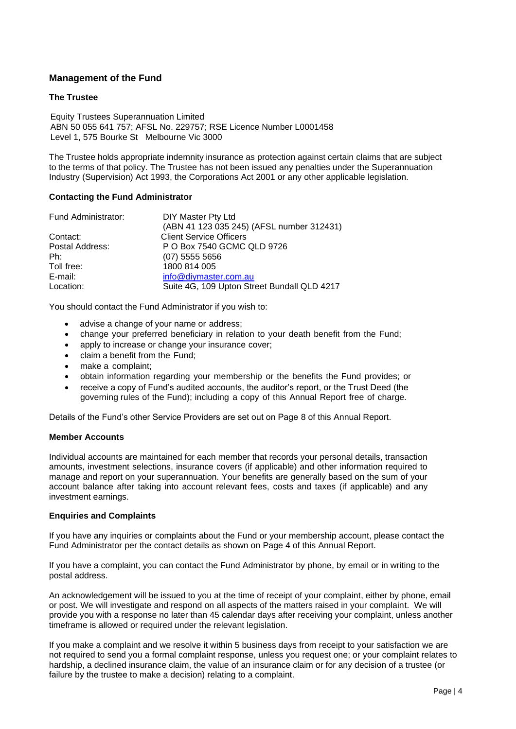## <span id="page-3-0"></span>**Management of the Fund**

#### **The Trustee**

Equity Trustees Superannuation Limited ABN 50 055 641 757; AFSL No. 229757; RSE Licence Number L0001458 Level 1, 575 Bourke St Melbourne Vic 3000

The Trustee holds appropriate indemnity insurance as protection against certain claims that are subject to the terms of that policy. The Trustee has not been issued any penalties under the Superannuation Industry (Supervision) Act 1993, the Corporations Act 2001 or any other applicable legislation.

#### **Contacting the Fund Administrator**

| Fund Administrator: | DIY Master Pty Ltd                          |
|---------------------|---------------------------------------------|
|                     | (ABN 41 123 035 245) (AFSL number 312431)   |
| Contact:            | <b>Client Service Officers</b>              |
| Postal Address:     | P O Box 7540 GCMC QLD 9726                  |
| Ph:                 | $(07)$ 5555 5656                            |
| Toll free:          | 1800 814 005                                |
| E-mail:             | info@diymaster.com.au                       |
| Location:           | Suite 4G, 109 Upton Street Bundall QLD 4217 |

You should contact the Fund Administrator if you wish to:

- advise a change of your name or address;
- change your preferred beneficiary in relation to your death benefit from the Fund;
- apply to increase or change your insurance cover;
- claim a benefit from the Fund;
- make a complaint;
- obtain information regarding your membership or the benefits the Fund provides; or
- receive a copy of Fund's audited accounts, the auditor's report, or the Trust Deed (the governing rules of the Fund); including a copy of this Annual Report free of charge.

Details of the Fund's other Service Providers are set out on Page 8 of this Annual Report.

#### **Member Accounts**

Individual accounts are maintained for each member that records your personal details, transaction amounts, investment selections, insurance covers (if applicable) and other information required to manage and report on your superannuation. Your benefits are generally based on the sum of your account balance after taking into account relevant fees, costs and taxes (if applicable) and any investment earnings.

#### **Enquiries and Complaints**

If you have any inquiries or complaints about the Fund or your membership account, please contact the Fund Administrator per the contact details as shown on Page 4 of this Annual Report.

If you have a complaint, you can contact the Fund Administrator by phone, by email or in writing to the postal address.

An acknowledgement will be issued to you at the time of receipt of your complaint, either by phone, email or post. We will investigate and respond on all aspects of the matters raised in your complaint. We will provide you with a response no later than 45 calendar days after receiving your complaint, unless another timeframe is allowed or required under the relevant legislation.

If you make a complaint and we resolve it within 5 business days from receipt to your satisfaction we are not required to send you a formal complaint response, unless you request one; or your complaint relates to hardship, a declined insurance claim, the value of an insurance claim or for any decision of a trustee (or failure by the trustee to make a decision) relating to a complaint.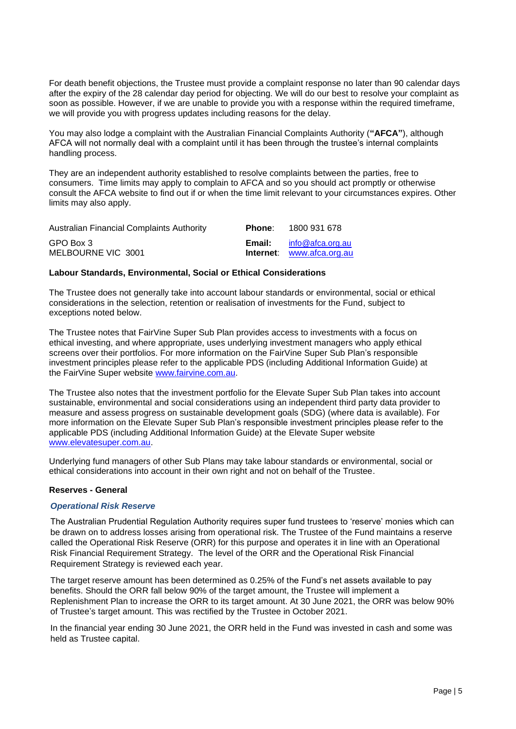For death benefit objections, the Trustee must provide a complaint response no later than 90 calendar days after the expiry of the 28 calendar day period for objecting. We will do our best to resolve your complaint as soon as possible. However, if we are unable to provide you with a response within the required timeframe, we will provide you with progress updates including reasons for the delay.

You may also lodge a complaint with the Australian Financial Complaints Authority (**"AFCA"**), although AFCA will not normally deal with a complaint until it has been through the trustee's internal complaints handling process.

They are an independent authority established to resolve complaints between the parties, free to consumers. Time limits may apply to complain to AFCA and so you should act promptly or otherwise consult the AFCA website to find out if or when the time limit relevant to your circumstances expires. Other limits may also apply.

| <b>Australian Financial Complaints Authority</b> | Phone: | 1800 931 678                                  |
|--------------------------------------------------|--------|-----------------------------------------------|
| GPO Box 3<br>MELBOURNE VIC 3001                  | Email: | info@afca.org.au<br>Internet: www.afca.org.au |

## **Labour Standards, Environmental, Social or Ethical Considerations**

The Trustee does not generally take into account labour standards or environmental, social or ethical considerations in the selection, retention or realisation of investments for the Fund, subject to exceptions noted below.

The Trustee notes that FairVine Super Sub Plan provides access to investments with a focus on ethical investing, and where appropriate, uses underlying investment managers who apply ethical screens over their portfolios. For more information on the FairVine Super Sub Plan's responsible investment principles please refer to the applicable PDS (including Additional Information Guide) at the FairVine Super website [www.fairvine.com.au.](http://www.fairvine.com.au/)

The Trustee also notes that the investment portfolio for the Elevate Super Sub Plan takes into account sustainable, environmental and social considerations using an independent third party data provider to measure and assess progress on sustainable development goals (SDG) (where data is available). For more information on the Elevate Super Sub Plan's responsible investment principles please refer to the applicable PDS (including Additional Information Guide) at the Elevate Super website [www.elevatesuper.com.au.](http://www.elevatesuper.com.au/)

Underlying fund managers of other Sub Plans may take labour standards or environmental, social or ethical considerations into account in their own right and not on behalf of the Trustee.

#### **Reserves - General**

#### *Operational Risk Reserve*

The Australian Prudential Regulation Authority requires super fund trustees to 'reserve' monies which can be drawn on to address losses arising from operational risk. The Trustee of the Fund maintains a reserve called the Operational Risk Reserve (ORR) for this purpose and operates it in line with an Operational Risk Financial Requirement Strategy. The level of the ORR and the Operational Risk Financial Requirement Strategy is reviewed each year.

The target reserve amount has been determined as 0.25% of the Fund's net assets available to pay benefits. Should the ORR fall below 90% of the target amount, the Trustee will implement a Replenishment Plan to increase the ORR to its target amount. At 30 June 2021, the ORR was below 90% of Trustee's target amount. This was rectified by the Trustee in October 2021.

In the financial year ending 30 June 2021, the ORR held in the Fund was invested in cash and some was held as Trustee capital.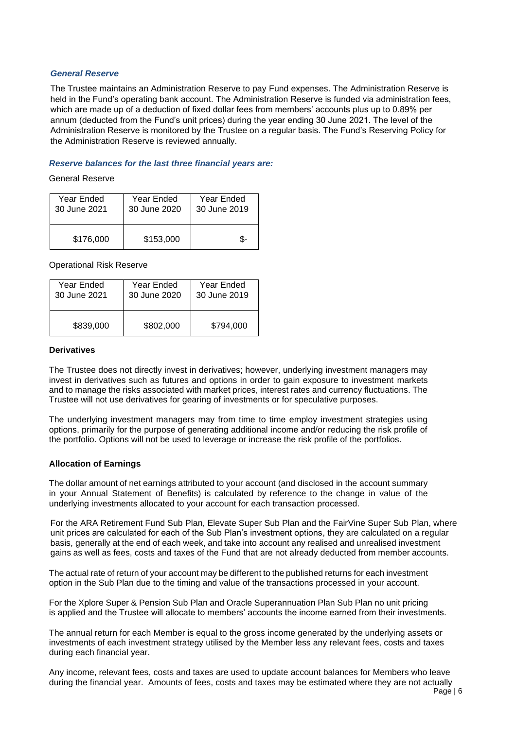#### *General Reserve*

The Trustee maintains an Administration Reserve to pay Fund expenses. The Administration Reserve is held in the Fund's operating bank account. The Administration Reserve is funded via administration fees, which are made up of a deduction of fixed dollar fees from members' accounts plus up to 0.89% per annum (deducted from the Fund's unit prices) during the year ending 30 June 2021. The level of the Administration Reserve is monitored by the Trustee on a regular basis. The Fund's Reserving Policy for the Administration Reserve is reviewed annually.

#### *Reserve balances for the last three financial years are:*

General Reserve

| Year Ended   | Year Ended   | Year Ended   |
|--------------|--------------|--------------|
| 30 June 2021 | 30 June 2020 | 30 June 2019 |
| \$176,000    | \$153,000    |              |

Operational Risk Reserve

| Year Ended   | Year Ended   | Year Ended   |
|--------------|--------------|--------------|
| 30 June 2021 | 30 June 2020 | 30 June 2019 |
| \$839,000    | \$802,000    | \$794,000    |

#### **Derivatives**

The Trustee does not directly invest in derivatives; however, underlying investment managers may invest in derivatives such as futures and options in order to gain exposure to investment markets and to manage the risks associated with market prices, interest rates and currency fluctuations. The Trustee will not use derivatives for gearing of investments or for speculative purposes.

The underlying investment managers may from time to time employ investment strategies using options, primarily for the purpose of generating additional income and/or reducing the risk profile of the portfolio. Options will not be used to leverage or increase the risk profile of the portfolios.

#### **Allocation of Earnings**

The dollar amount of net earnings attributed to your account (and disclosed in the account summary in your Annual Statement of Benefits) is calculated by reference to the change in value of the underlying investments allocated to your account for each transaction processed.

For the ARA Retirement Fund Sub Plan, Elevate Super Sub Plan and the FairVine Super Sub Plan, where unit prices are calculated for each of the Sub Plan's investment options, they are calculated on a regular basis, generally at the end of each week, and take into account any realised and unrealised investment gains as well as fees, costs and taxes of the Fund that are not already deducted from member accounts.

The actual rate of return of your account may be different to the published returns for each investment option in the Sub Plan due to the timing and value of the transactions processed in your account.

For the Xplore Super & Pension Sub Plan and Oracle Superannuation Plan Sub Plan no unit pricing is applied and the Trustee will allocate to members' accounts the income earned from their investments.

The annual return for each Member is equal to the gross income generated by the underlying assets or investments of each investment strategy utilised by the Member less any relevant fees, costs and taxes during each financial year.

Any income, relevant fees, costs and taxes are used to update account balances for Members who leave during the financial year. Amounts of fees, costs and taxes may be estimated where they are not actually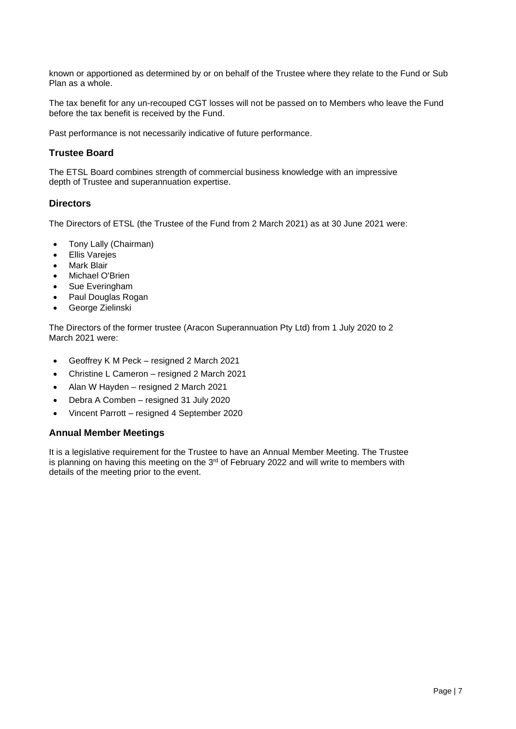known or apportioned as determined by or on behalf of the Trustee where they relate to the Fund or Sub Plan as a whole.

The tax benefit for any un-recouped CGT losses will not be passed on to Members who leave the Fund before the tax benefit is received by the Fund.

Past performance is not necessarily indicative of future performance.

#### **Trustee Board**

The ETSL Board combines strength of commercial business knowledge with an impressive depth of Trustee and superannuation expertise.

#### **Directors**

The Directors of ETSL (the Trustee of the Fund from 2 March 2021) as at 30 June 2021 were:

- Tony Lally (Chairman)
- Ellis Varejes
- **Mark Blair**
- Michael O'Brien
- Sue Everingham
- Paul Douglas Rogan
- George Zielinski

The Directors of the former trustee (Aracon Superannuation Pty Ltd) from 1 July 2020 to 2 March 2021 were:

- Geoffrey K M Peck resigned 2 March 2021
- Christine L Cameron resigned 2 March 2021
- Alan W Hayden resigned 2 March 2021
- Debra A Comben resigned 31 July 2020
- Vincent Parrott resigned 4 September 2020

#### **Annual Member Meetings**

It is a legislative requirement for the Trustee to have an Annual Member Meeting. The Trustee is planning on having this meeting on the 3<sup>rd</sup> of February 2022 and will write to members with details of the meeting prior to the event.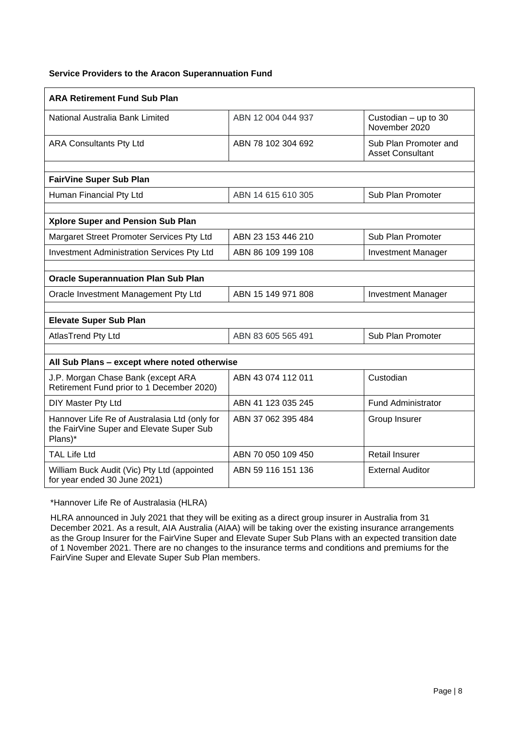## **Service Providers to the Aracon Superannuation Fund**

| <b>ARA Retirement Fund Sub Plan</b>                                                                  |                    |                                                  |
|------------------------------------------------------------------------------------------------------|--------------------|--------------------------------------------------|
| National Australia Bank Limited                                                                      | ABN 12 004 044 937 | Custodian $-$ up to 30<br>November 2020          |
| <b>ARA Consultants Pty Ltd</b>                                                                       | ABN 78 102 304 692 | Sub Plan Promoter and<br><b>Asset Consultant</b> |
|                                                                                                      |                    |                                                  |
| <b>FairVine Super Sub Plan</b>                                                                       |                    |                                                  |
| Human Financial Pty Ltd                                                                              | ABN 14 615 610 305 | Sub Plan Promoter                                |
|                                                                                                      |                    |                                                  |
| Xplore Super and Pension Sub Plan                                                                    |                    |                                                  |
| Margaret Street Promoter Services Pty Ltd                                                            | ABN 23 153 446 210 | Sub Plan Promoter                                |
| <b>Investment Administration Services Pty Ltd</b>                                                    | ABN 86 109 199 108 | <b>Investment Manager</b>                        |
|                                                                                                      |                    |                                                  |
| <b>Oracle Superannuation Plan Sub Plan</b>                                                           |                    |                                                  |
| Oracle Investment Management Pty Ltd                                                                 | ABN 15 149 971 808 | <b>Investment Manager</b>                        |
|                                                                                                      |                    |                                                  |
| <b>Elevate Super Sub Plan</b>                                                                        |                    |                                                  |
| AtlasTrend Pty Ltd                                                                                   | ABN 83 605 565 491 | Sub Plan Promoter                                |
|                                                                                                      |                    |                                                  |
| All Sub Plans - except where noted otherwise                                                         |                    |                                                  |
| J.P. Morgan Chase Bank (except ARA<br>Retirement Fund prior to 1 December 2020)                      | ABN 43 074 112 011 | Custodian                                        |
| DIY Master Pty Ltd                                                                                   | ABN 41 123 035 245 | <b>Fund Administrator</b>                        |
| Hannover Life Re of Australasia Ltd (only for<br>the FairVine Super and Elevate Super Sub<br>Plans)* | ABN 37 062 395 484 | Group Insurer                                    |
| <b>TAL Life Ltd</b>                                                                                  | ABN 70 050 109 450 | <b>Retail Insurer</b>                            |
| William Buck Audit (Vic) Pty Ltd (appointed<br>for year ended 30 June 2021)                          | ABN 59 116 151 136 | <b>External Auditor</b>                          |

\*Hannover Life Re of Australasia (HLRA)

HLRA announced in July 2021 that they will be exiting as a direct group insurer in Australia from 31 December 2021. As a result, AIA Australia (AIAA) will be taking over the existing insurance arrangements as the Group Insurer for the FairVine Super and Elevate Super Sub Plans with an expected transition date of 1 November 2021. There are no changes to the insurance terms and conditions and premiums for the FairVine Super and Elevate Super Sub Plan members.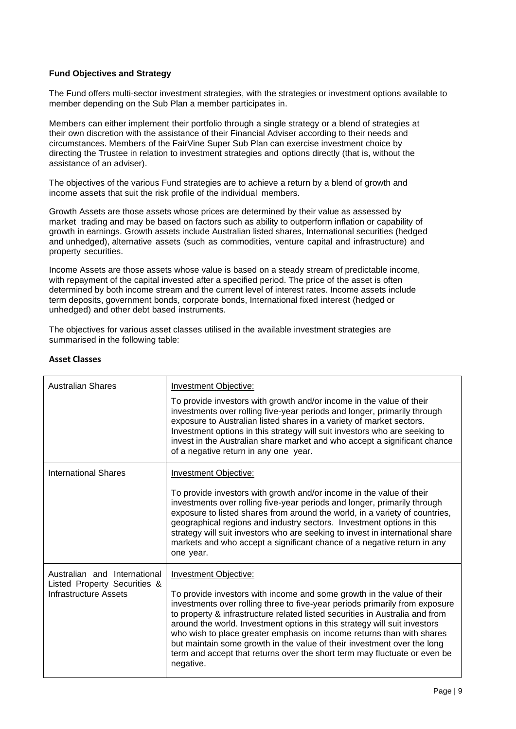## **Fund Objectives and Strategy**

The Fund offers multi-sector investment strategies, with the strategies or investment options available to member depending on the Sub Plan a member participates in.

Members can either implement their portfolio through a single strategy or a blend of strategies at their own discretion with the assistance of their Financial Adviser according to their needs and circumstances. Members of the FairVine Super Sub Plan can exercise investment choice by directing the Trustee in relation to investment strategies and options directly (that is, without the assistance of an adviser).

The objectives of the various Fund strategies are to achieve a return by a blend of growth and income assets that suit the risk profile of the individual members.

Growth Assets are those assets whose prices are determined by their value as assessed by market trading and may be based on factors such as ability to outperform inflation or capability of growth in earnings. Growth assets include Australian listed shares, International securities (hedged and unhedged), alternative assets (such as commodities, venture capital and infrastructure) and property securities.

Income Assets are those assets whose value is based on a steady stream of predictable income, with repayment of the capital invested after a specified period. The price of the asset is often determined by both income stream and the current level of interest rates. Income assets include term deposits, government bonds, corporate bonds, International fixed interest (hedged or unhedged) and other debt based instruments.

The objectives for various asset classes utilised in the available investment strategies are summarised in the following table:

| <b>Australian Shares</b>                                                              | Investment Objective:<br>To provide investors with growth and/or income in the value of their<br>investments over rolling five-year periods and longer, primarily through<br>exposure to Australian listed shares in a variety of market sectors.<br>Investment options in this strategy will suit investors who are seeking to<br>invest in the Australian share market and who accept a significant chance<br>of a negative return in any one year.                                                                                                                                            |
|---------------------------------------------------------------------------------------|--------------------------------------------------------------------------------------------------------------------------------------------------------------------------------------------------------------------------------------------------------------------------------------------------------------------------------------------------------------------------------------------------------------------------------------------------------------------------------------------------------------------------------------------------------------------------------------------------|
| <b>International Shares</b>                                                           | Investment Objective:<br>To provide investors with growth and/or income in the value of their<br>investments over rolling five-year periods and longer, primarily through<br>exposure to listed shares from around the world, in a variety of countries,<br>geographical regions and industry sectors. Investment options in this<br>strategy will suit investors who are seeking to invest in international share<br>markets and who accept a significant chance of a negative return in any<br>one year.                                                                                       |
| Australian and International<br>Listed Property Securities &<br>Infrastructure Assets | <b>Investment Objective:</b><br>To provide investors with income and some growth in the value of their<br>investments over rolling three to five-year periods primarily from exposure<br>to property & infrastructure related listed securities in Australia and from<br>around the world. Investment options in this strategy will suit investors<br>who wish to place greater emphasis on income returns than with shares<br>but maintain some growth in the value of their investment over the long<br>term and accept that returns over the short term may fluctuate or even be<br>negative. |

## **Asset Classes**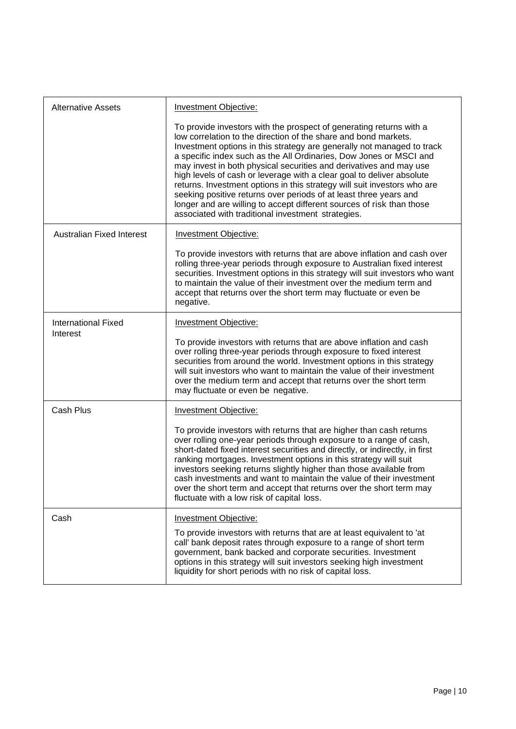| <b>Alternative Assets</b>        | <b>Investment Objective:</b>                                                                                                                                                                                                                                                                                                                                                                                                                                                                                                                                                                                                                                                                                          |
|----------------------------------|-----------------------------------------------------------------------------------------------------------------------------------------------------------------------------------------------------------------------------------------------------------------------------------------------------------------------------------------------------------------------------------------------------------------------------------------------------------------------------------------------------------------------------------------------------------------------------------------------------------------------------------------------------------------------------------------------------------------------|
|                                  | To provide investors with the prospect of generating returns with a<br>low correlation to the direction of the share and bond markets.<br>Investment options in this strategy are generally not managed to track<br>a specific index such as the All Ordinaries, Dow Jones or MSCI and<br>may invest in both physical securities and derivatives and may use<br>high levels of cash or leverage with a clear goal to deliver absolute<br>returns. Investment options in this strategy will suit investors who are<br>seeking positive returns over periods of at least three years and<br>longer and are willing to accept different sources of risk than those<br>associated with traditional investment strategies. |
| <b>Australian Fixed Interest</b> | <b>Investment Objective:</b>                                                                                                                                                                                                                                                                                                                                                                                                                                                                                                                                                                                                                                                                                          |
|                                  | To provide investors with returns that are above inflation and cash over<br>rolling three-year periods through exposure to Australian fixed interest<br>securities. Investment options in this strategy will suit investors who want<br>to maintain the value of their investment over the medium term and<br>accept that returns over the short term may fluctuate or even be<br>negative.                                                                                                                                                                                                                                                                                                                           |
| <b>International Fixed</b>       | <b>Investment Objective:</b>                                                                                                                                                                                                                                                                                                                                                                                                                                                                                                                                                                                                                                                                                          |
| Interest                         | To provide investors with returns that are above inflation and cash<br>over rolling three-year periods through exposure to fixed interest<br>securities from around the world. Investment options in this strategy<br>will suit investors who want to maintain the value of their investment<br>over the medium term and accept that returns over the short term<br>may fluctuate or even be negative.                                                                                                                                                                                                                                                                                                                |
| Cash Plus                        | <b>Investment Objective:</b>                                                                                                                                                                                                                                                                                                                                                                                                                                                                                                                                                                                                                                                                                          |
|                                  | To provide investors with returns that are higher than cash returns<br>over rolling one-year periods through exposure to a range of cash,<br>short-dated fixed interest securities and directly, or indirectly, in first<br>ranking mortgages. Investment options in this strategy will suit<br>investors seeking returns slightly higher than those available from<br>cash investments and want to maintain the value of their investment<br>over the short term and accept that returns over the short term may<br>fluctuate with a low risk of capital loss.                                                                                                                                                       |
| Cash                             | Investment Objective:                                                                                                                                                                                                                                                                                                                                                                                                                                                                                                                                                                                                                                                                                                 |
|                                  | To provide investors with returns that are at least equivalent to 'at<br>call' bank deposit rates through exposure to a range of short term<br>government, bank backed and corporate securities. Investment<br>options in this strategy will suit investors seeking high investment<br>liquidity for short periods with no risk of capital loss.                                                                                                                                                                                                                                                                                                                                                                      |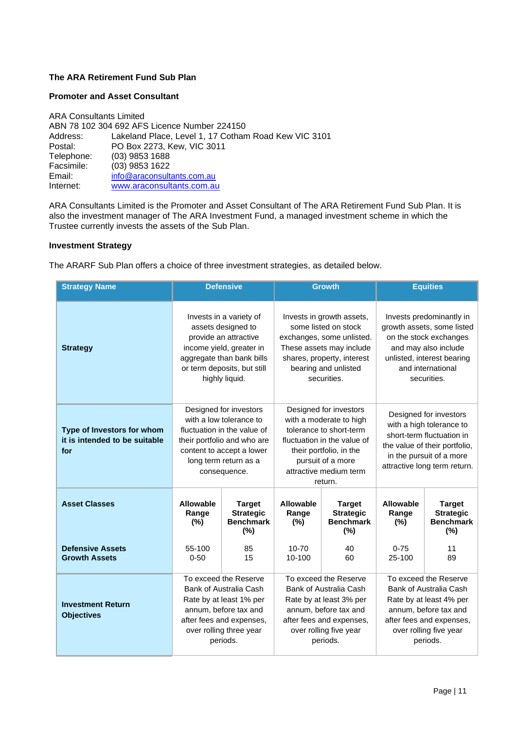## <span id="page-10-0"></span>**The ARA Retirement Fund Sub Plan**

#### **Promoter and Asset Consultant**

ARA Consultants Limited ABN 78 102 304 692 AFS Licence Number 224150 Address: Lakeland Place, Level 1, 17 Cotham Road Kew VIC 3101<br>Postal: PO Box 2273. Kew. VIC 3011 Postal: PO Box 2273, Kew, VIC 3011<br>Telephone: (03) 9853 1688 Telephone: (03) 9853 1688<br>Facsimile: (03) 9853 1622 Facsimile: (03) 9853 1622<br>Email: info@araconsulti Email: [info@araconsultants.com.au](mailto:info@araconsultants.com.au)<br>Internet: www.araconsultants.com.au [www.araconsultants.com.au](http://www.araconsultants.com.au/)

ARA Consultants Limited is the Promoter and Asset Consultant of The ARA Retirement Fund Sub Plan. It is also the investment manager of The ARA Investment Fund, a managed investment scheme in which the Trustee currently invests the assets of the Sub Plan.

#### **Investment Strategy**

The ARARF Sub Plan offers a choice of three investment strategies, as detailed below.

| <b>Strategy Name</b>                                               |                                                                                                                                                                                  | <b>Defensive</b>                                                                                                                                                                      |                                                                                                                                                                                                  | <b>Growth</b>                                                | <b>Equities</b>                                                                                                                                                              |                                                                                                                                                                       |
|--------------------------------------------------------------------|----------------------------------------------------------------------------------------------------------------------------------------------------------------------------------|---------------------------------------------------------------------------------------------------------------------------------------------------------------------------------------|--------------------------------------------------------------------------------------------------------------------------------------------------------------------------------------------------|--------------------------------------------------------------|------------------------------------------------------------------------------------------------------------------------------------------------------------------------------|-----------------------------------------------------------------------------------------------------------------------------------------------------------------------|
| <b>Strategy</b>                                                    | Invests in a variety of<br>assets designed to<br>provide an attractive<br>income yield, greater in<br>aggregate than bank bills<br>or term deposits, but still<br>highly liquid. |                                                                                                                                                                                       | Invests in growth assets,<br>some listed on stock<br>exchanges, some unlisted.<br>These assets may include<br>shares, property, interest<br>bearing and unlisted<br>securities.                  |                                                              | Invests predominantly in<br>growth assets, some listed<br>on the stock exchanges<br>and may also include<br>unlisted, interest bearing<br>and international<br>securities.   |                                                                                                                                                                       |
| Type of Investors for whom<br>it is intended to be suitable<br>for |                                                                                                                                                                                  | Designed for investors<br>with a low tolerance to<br>fluctuation in the value of<br>their portfolio and who are<br>content to accept a lower<br>long term return as a<br>consequence. | Designed for investors<br>with a moderate to high<br>tolerance to short-term<br>fluctuation in the value of<br>their portfolio, in the<br>pursuit of a more<br>attractive medium term<br>return. |                                                              | Designed for investors<br>with a high tolerance to<br>short-term fluctuation in<br>the value of their portfolio,<br>in the pursuit of a more<br>attractive long term return. |                                                                                                                                                                       |
| <b>Asset Classes</b>                                               | <b>Allowable</b><br>Range<br>(%)                                                                                                                                                 | <b>Target</b><br><b>Strategic</b><br><b>Benchmark</b><br>(%)                                                                                                                          | Allowable<br>Range<br>$(\% )$                                                                                                                                                                    | <b>Target</b><br><b>Strategic</b><br><b>Benchmark</b><br>(%) | Allowable<br>Range<br>$(\%)$                                                                                                                                                 | <b>Target</b><br><b>Strategic</b><br><b>Benchmark</b><br>(%)                                                                                                          |
| <b>Defensive Assets</b><br><b>Growth Assets</b>                    | 55-100<br>$0 - 50$                                                                                                                                                               | 85<br>15                                                                                                                                                                              | $10 - 70$<br>10-100                                                                                                                                                                              | 40<br>60                                                     | $0 - 75$<br>25-100                                                                                                                                                           | 11<br>89                                                                                                                                                              |
| <b>Investment Return</b><br><b>Objectives</b>                      | To exceed the Reserve<br>Bank of Australia Cash<br>Rate by at least 1% per<br>annum, before tax and<br>after fees and expenses,<br>over rolling three year<br>periods.           |                                                                                                                                                                                       | To exceed the Reserve<br>Bank of Australia Cash<br>Rate by at least 3% per<br>annum, before tax and<br>after fees and expenses,<br>over rolling five year<br>periods.                            |                                                              |                                                                                                                                                                              | To exceed the Reserve<br>Bank of Australia Cash<br>Rate by at least 4% per<br>annum, before tax and<br>after fees and expenses,<br>over rolling five year<br>periods. |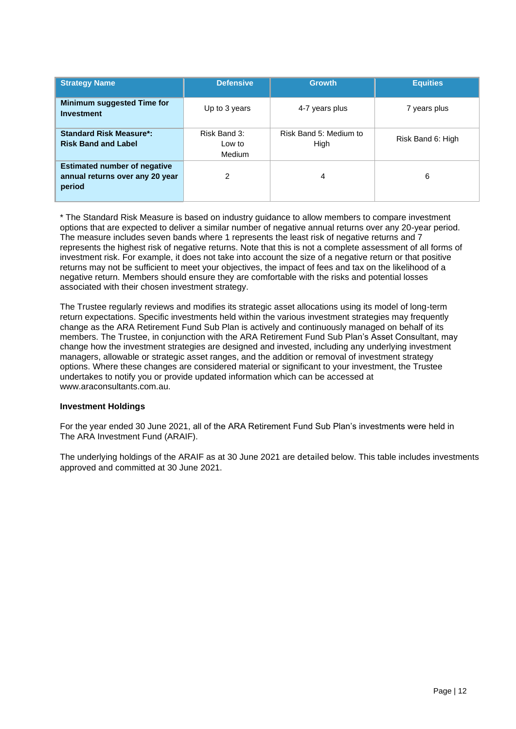| <b>Strategy Name</b>                                                             | <b>Defensive</b>                 | <b>Growth</b>                  | <b>Equities</b>   |
|----------------------------------------------------------------------------------|----------------------------------|--------------------------------|-------------------|
| <b>Minimum suggested Time for</b><br><b>Investment</b>                           | Up to 3 years                    | 4-7 years plus                 | 7 years plus      |
| <b>Standard Risk Measure*:</b><br><b>Risk Band and Label</b>                     | Risk Band 3:<br>Low to<br>Medium | Risk Band 5: Medium to<br>High | Risk Band 6: High |
| <b>Estimated number of negative</b><br>annual returns over any 20 year<br>period | 2                                | 4                              | 6                 |

\* The Standard Risk Measure is based on industry guidance to allow members to compare investment options that are expected to deliver a similar number of negative annual returns over any 20-year period. The measure includes seven bands where 1 represents the least risk of negative returns and 7 represents the highest risk of negative returns. Note that this is not a complete assessment of all forms of investment risk. For example, it does not take into account the size of a negative return or that positive returns may not be sufficient to meet your objectives, the impact of fees and tax on the likelihood of a negative return. Members should ensure they are comfortable with the risks and potential losses associated with their chosen investment strategy.

The Trustee regularly reviews and modifies its strategic asset allocations using its model of long-term return expectations. Specific investments held within the various investment strategies may frequently change as the ARA Retirement Fund Sub Plan is actively and continuously managed on behalf of its members. The Trustee, in conjunction with the ARA Retirement Fund Sub Plan's Asset Consultant, may change how the investment strategies are designed and invested, including any underlying investment managers, allowable or strategic asset ranges, and the addition or removal of investment strategy options. Where these changes are considered material or significant to your investment, the Trustee undertakes to notify you or provide updated information which can be accessed at [www.araconsultants.com.au.](http://www.araconsultants.com.au/)

#### **Investment Holdings**

For the year ended 30 June 2021, all of the ARA Retirement Fund Sub Plan's investments were held in The ARA Investment Fund (ARAIF).

The underlying holdings of the ARAIF as at 30 June 2021 are detailed below. This table includes investments approved and committed at 30 June 2021.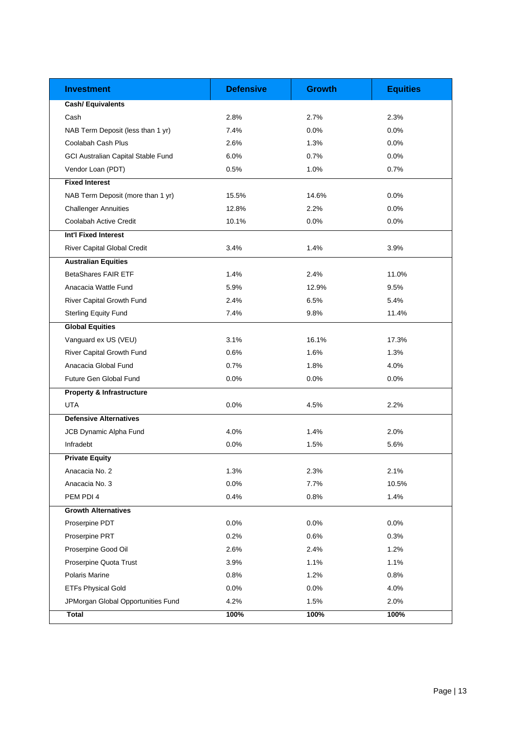| <b>Investment</b>                         | <b>Defensive</b> | <b>Growth</b> | <b>Equities</b> |
|-------------------------------------------|------------------|---------------|-----------------|
| Cash/ Equivalents                         |                  |               |                 |
| Cash                                      | 2.8%             | 2.7%          | 2.3%            |
| NAB Term Deposit (less than 1 yr)         | 7.4%             | 0.0%          | 0.0%            |
| Coolabah Cash Plus                        | 2.6%             | 1.3%          | 0.0%            |
| <b>GCI Australian Capital Stable Fund</b> | 6.0%             | 0.7%          | 0.0%            |
| Vendor Loan (PDT)                         | 0.5%             | 1.0%          | 0.7%            |
| <b>Fixed Interest</b>                     |                  |               |                 |
| NAB Term Deposit (more than 1 yr)         | 15.5%            | 14.6%         | 0.0%            |
| <b>Challenger Annuities</b>               | 12.8%            | 2.2%          | 0.0%            |
| Coolabah Active Credit                    | 10.1%            | 0.0%          | 0.0%            |
| Int'l Fixed Interest                      |                  |               |                 |
| River Capital Global Credit               | 3.4%             | 1.4%          | 3.9%            |
| <b>Australian Equities</b>                |                  |               |                 |
| <b>BetaShares FAIR ETF</b>                | 1.4%             | 2.4%          | 11.0%           |
| Anacacia Wattle Fund                      | 5.9%             | 12.9%         | 9.5%            |
| River Capital Growth Fund                 | 2.4%             | 6.5%          | 5.4%            |
| <b>Sterling Equity Fund</b>               | 7.4%             | 9.8%          | 11.4%           |
| <b>Global Equities</b>                    |                  |               |                 |
| Vanguard ex US (VEU)                      | 3.1%             | 16.1%         | 17.3%           |
| River Capital Growth Fund                 | 0.6%             | 1.6%          | 1.3%            |
| Anacacia Global Fund                      | 0.7%             | 1.8%          | 4.0%            |
| Future Gen Global Fund                    | 0.0%             | 0.0%          | 0.0%            |
| <b>Property &amp; Infrastructure</b>      |                  |               |                 |
| <b>UTA</b>                                | 0.0%             | 4.5%          | 2.2%            |
| <b>Defensive Alternatives</b>             |                  |               |                 |
| JCB Dynamic Alpha Fund                    | 4.0%             | 1.4%          | 2.0%            |
| Infradebt                                 | 0.0%             | 1.5%          | 5.6%            |
| <b>Private Equity</b>                     |                  |               |                 |
| Anacacia No. 2                            | 1.3%             | 2.3%          | 2.1%            |
| Anacacia No. 3                            | 0.0%             | 7.7%          | 10.5%           |
| PEM PDI 4                                 | 0.4%             | 0.8%          | 1.4%            |
| <b>Growth Alternatives</b>                |                  |               |                 |
| Proserpine PDT                            | 0.0%             | 0.0%          | 0.0%            |
| Proserpine PRT                            | 0.2%             | 0.6%          | 0.3%            |
| Proserpine Good Oil                       | 2.6%             | 2.4%          | 1.2%            |
| Proserpine Quota Trust                    | 3.9%             | 1.1%          | 1.1%            |
| Polaris Marine                            | 0.8%             | 1.2%          | 0.8%            |
| <b>ETFs Physical Gold</b>                 | 0.0%             | 0.0%          | 4.0%            |
| JPMorgan Global Opportunities Fund        | 4.2%             | 1.5%          | 2.0%            |
| Total                                     | 100%             | 100%          | 100%            |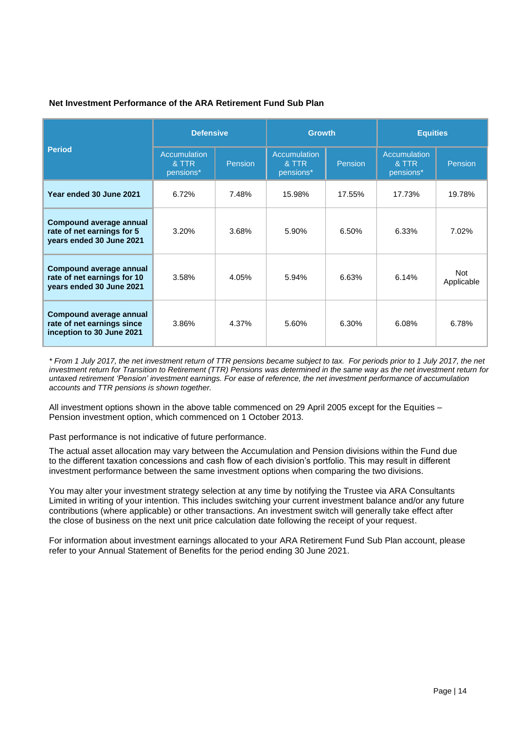## **Net Investment Performance of the ARA Retirement Fund Sub Plan**

| <b>Period</b>                                                                            | <b>Defensive</b>                          |                | <b>Growth</b>                             |         | <b>Equities</b>                    |                   |
|------------------------------------------------------------------------------------------|-------------------------------------------|----------------|-------------------------------------------|---------|------------------------------------|-------------------|
|                                                                                          | <b>Accumulation</b><br>& TTR<br>pensions* | <b>Pension</b> | <b>Accumulation</b><br>& TTR<br>pensions* | Pension | Accumulation<br>& TTR<br>pensions* | Pension           |
| Year ended 30 June 2021                                                                  | 6.72%                                     | 7.48%          | 15.98%                                    | 17.55%  | 17.73%                             | 19.78%            |
| <b>Compound average annual</b><br>rate of net earnings for 5<br>years ended 30 June 2021 | 3.20%                                     | 3.68%          | 5.90%                                     | 6.50%   | 6.33%                              | 7.02%             |
| Compound average annual<br>rate of net earnings for 10<br>years ended 30 June 2021       | 3.58%                                     | 4.05%          | 5.94%                                     | 6.63%   | 6.14%                              | Not<br>Applicable |
| Compound average annual<br>rate of net earnings since<br>inception to 30 June 2021       | 3.86%                                     | 4.37%          | 5.60%                                     | 6.30%   | 6.08%                              | 6.78%             |

*\* From 1 July 2017, the net investment return of TTR pensions became subject to tax. For periods prior to 1 July 2017, the net investment return for Transition to Retirement (TTR) Pensions was determined in the same way as the net investment return for untaxed retirement 'Pension' investment earnings. For ease of reference, the net investment performance of accumulation accounts and TTR pensions is shown together.* 

All investment options shown in the above table commenced on 29 April 2005 except for the Equities – Pension investment option, which commenced on 1 October 2013.

Past performance is not indicative of future performance.

The actual asset allocation may vary between the Accumulation and Pension divisions within the Fund due to the different taxation concessions and cash flow of each division's portfolio. This may result in different investment performance between the same investment options when comparing the two divisions.

You may alter your investment strategy selection at any time by notifying the Trustee via ARA Consultants Limited in writing of your intention. This includes switching your current investment balance and/or any future contributions (where applicable) or other transactions. An investment switch will generally take effect after the close of business on the next unit price calculation date following the receipt of your request.

For information about investment earnings allocated to your ARA Retirement Fund Sub Plan account, please refer to your Annual Statement of Benefits for the period ending 30 June 2021.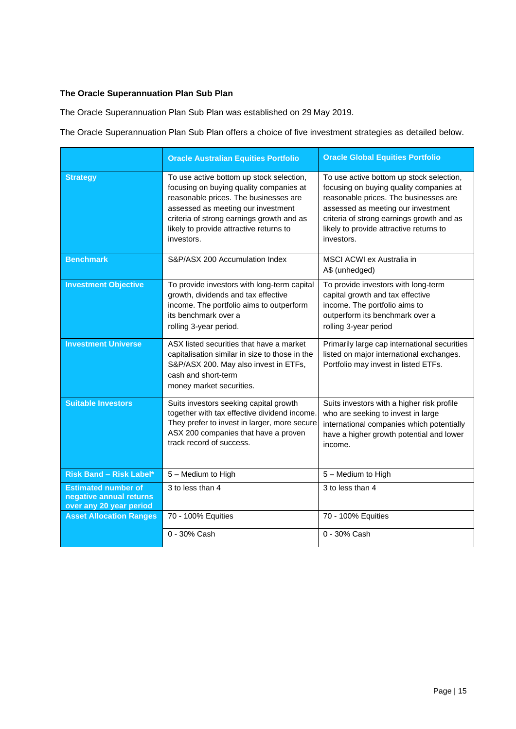## <span id="page-14-0"></span>**The Oracle Superannuation Plan Sub Plan**

The Oracle Superannuation Plan Sub Plan was established on 29 May 2019.

The Oracle Superannuation Plan Sub Plan offers a choice of five investment strategies as detailed below.

|                                                                                  | <b>Oracle Australian Equities Portfolio</b>                                                                                                                                                                                                                              | <b>Oracle Global Equities Portfolio</b>                                                                                                                                                                                                                                  |
|----------------------------------------------------------------------------------|--------------------------------------------------------------------------------------------------------------------------------------------------------------------------------------------------------------------------------------------------------------------------|--------------------------------------------------------------------------------------------------------------------------------------------------------------------------------------------------------------------------------------------------------------------------|
| <b>Strategy</b>                                                                  | To use active bottom up stock selection,<br>focusing on buying quality companies at<br>reasonable prices. The businesses are<br>assessed as meeting our investment<br>criteria of strong earnings growth and as<br>likely to provide attractive returns to<br>investors. | To use active bottom up stock selection,<br>focusing on buying quality companies at<br>reasonable prices. The businesses are<br>assessed as meeting our investment<br>criteria of strong earnings growth and as<br>likely to provide attractive returns to<br>investors. |
| <b>Benchmark</b>                                                                 | S&P/ASX 200 Accumulation Index                                                                                                                                                                                                                                           | MSCI ACWI ex Australia in<br>A\$ (unhedged)                                                                                                                                                                                                                              |
| <b>Investment Objective</b>                                                      | To provide investors with long-term capital<br>growth, dividends and tax effective<br>income. The portfolio aims to outperform<br>its benchmark over a<br>rolling 3-year period.                                                                                         | To provide investors with long-term<br>capital growth and tax effective<br>income. The portfolio aims to<br>outperform its benchmark over a<br>rolling 3-year period                                                                                                     |
| <b>Investment Universe</b>                                                       | ASX listed securities that have a market<br>capitalisation similar in size to those in the<br>S&P/ASX 200. May also invest in ETFs,<br>cash and short-term<br>money market securities.                                                                                   | Primarily large cap international securities<br>listed on major international exchanges.<br>Portfolio may invest in listed ETFs.                                                                                                                                         |
| <b>Suitable Investors</b>                                                        | Suits investors seeking capital growth<br>together with tax effective dividend income.<br>They prefer to invest in larger, more secure<br>ASX 200 companies that have a proven<br>track record of success.                                                               | Suits investors with a higher risk profile<br>who are seeking to invest in large<br>international companies which potentially<br>have a higher growth potential and lower<br>income.                                                                                     |
| <b>Risk Band - Risk Label*</b>                                                   | 5 - Medium to High                                                                                                                                                                                                                                                       | 5 - Medium to High                                                                                                                                                                                                                                                       |
| <b>Estimated number of</b><br>negative annual returns<br>over any 20 year period | 3 to less than 4                                                                                                                                                                                                                                                         | 3 to less than 4                                                                                                                                                                                                                                                         |
| <b>Asset Allocation Ranges</b>                                                   | 70 - 100% Equities                                                                                                                                                                                                                                                       | 70 - 100% Equities                                                                                                                                                                                                                                                       |
|                                                                                  | 0 - 30% Cash                                                                                                                                                                                                                                                             | 0 - 30% Cash                                                                                                                                                                                                                                                             |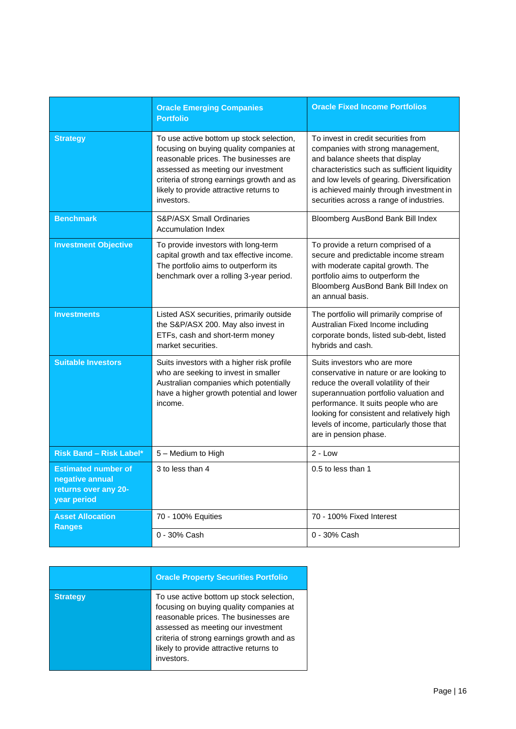|                                                                                      | <b>Oracle Emerging Companies</b><br><b>Portfolio</b>                                                                                                                                                                                                                     | <b>Oracle Fixed Income Portfolios</b>                                                                                                                                                                                                                                                                                    |
|--------------------------------------------------------------------------------------|--------------------------------------------------------------------------------------------------------------------------------------------------------------------------------------------------------------------------------------------------------------------------|--------------------------------------------------------------------------------------------------------------------------------------------------------------------------------------------------------------------------------------------------------------------------------------------------------------------------|
| <b>Strategy</b>                                                                      | To use active bottom up stock selection,<br>focusing on buying quality companies at<br>reasonable prices. The businesses are<br>assessed as meeting our investment<br>criteria of strong earnings growth and as<br>likely to provide attractive returns to<br>investors. | To invest in credit securities from<br>companies with strong management,<br>and balance sheets that display<br>characteristics such as sufficient liquidity<br>and low levels of gearing. Diversification<br>is achieved mainly through investment in<br>securities across a range of industries.                        |
| <b>Benchmark</b>                                                                     | <b>S&amp;P/ASX Small Ordinaries</b><br><b>Accumulation Index</b>                                                                                                                                                                                                         | Bloomberg AusBond Bank Bill Index                                                                                                                                                                                                                                                                                        |
| <b>Investment Objective</b>                                                          | To provide investors with long-term<br>capital growth and tax effective income.<br>The portfolio aims to outperform its<br>benchmark over a rolling 3-year period.                                                                                                       | To provide a return comprised of a<br>secure and predictable income stream<br>with moderate capital growth. The<br>portfolio aims to outperform the<br>Bloomberg AusBond Bank Bill Index on<br>an annual basis.                                                                                                          |
| <b>Investments</b>                                                                   | Listed ASX securities, primarily outside<br>the S&P/ASX 200. May also invest in<br>ETFs, cash and short-term money<br>market securities.                                                                                                                                 | The portfolio will primarily comprise of<br>Australian Fixed Income including<br>corporate bonds, listed sub-debt, listed<br>hybrids and cash.                                                                                                                                                                           |
| <b>Suitable Investors</b>                                                            | Suits investors with a higher risk profile<br>who are seeking to invest in smaller<br>Australian companies which potentially<br>have a higher growth potential and lower<br>income.                                                                                      | Suits investors who are more<br>conservative in nature or are looking to<br>reduce the overall volatility of their<br>superannuation portfolio valuation and<br>performance. It suits people who are<br>looking for consistent and relatively high<br>levels of income, particularly those that<br>are in pension phase. |
| <b>Risk Band - Risk Label*</b>                                                       | 5 - Medium to High                                                                                                                                                                                                                                                       | $2 - Low$                                                                                                                                                                                                                                                                                                                |
| <b>Estimated number of</b><br>negative annual<br>returns over any 20-<br>year period | 3 to less than 4                                                                                                                                                                                                                                                         | 0.5 to less than 1                                                                                                                                                                                                                                                                                                       |
| <b>Asset Allocation</b>                                                              | 70 - 100% Equities                                                                                                                                                                                                                                                       | 70 - 100% Fixed Interest                                                                                                                                                                                                                                                                                                 |
| <b>Ranges</b>                                                                        | 0 - 30% Cash                                                                                                                                                                                                                                                             | 0 - 30% Cash                                                                                                                                                                                                                                                                                                             |

|                 | <b>Oracle Property Securities Portfolio</b>                                                                                                                                                                                                                              |
|-----------------|--------------------------------------------------------------------------------------------------------------------------------------------------------------------------------------------------------------------------------------------------------------------------|
| <b>Strategy</b> | To use active bottom up stock selection,<br>focusing on buying quality companies at<br>reasonable prices. The businesses are<br>assessed as meeting our investment<br>criteria of strong earnings growth and as<br>likely to provide attractive returns to<br>investors. |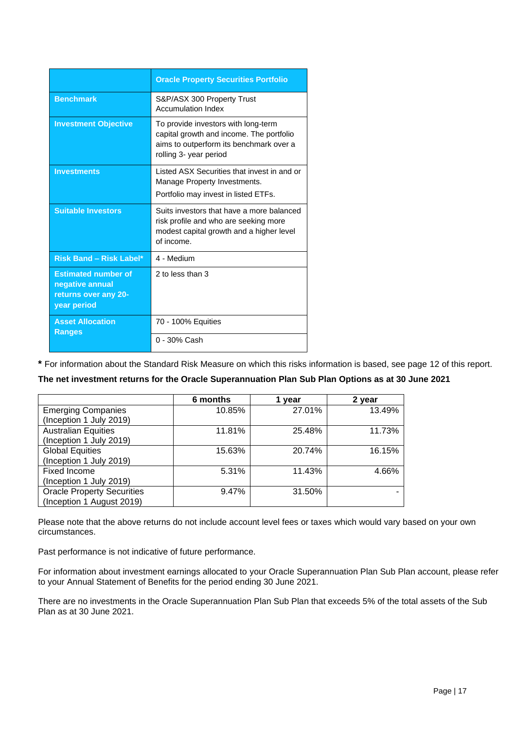|                                                                                      | <b>Oracle Property Securities Portfolio</b>                                                                                                          |
|--------------------------------------------------------------------------------------|------------------------------------------------------------------------------------------------------------------------------------------------------|
| <b>Benchmark</b>                                                                     | S&P/ASX 300 Property Trust<br><b>Accumulation Index</b>                                                                                              |
| <b>Investment Objective</b>                                                          | To provide investors with long-term<br>capital growth and income. The portfolio<br>aims to outperform its benchmark over a<br>rolling 3- year period |
| <b>Investments</b>                                                                   | Listed ASX Securities that invest in and or<br>Manage Property Investments.<br>Portfolio may invest in listed ETFs.                                  |
| <b>Suitable Investors</b>                                                            | Suits investors that have a more balanced<br>risk profile and who are seeking more<br>modest capital growth and a higher level<br>of income.         |
| <b>Risk Band - Risk Label*</b>                                                       | 4 - Medium                                                                                                                                           |
| <b>Estimated number of</b><br>negative annual<br>returns over any 20-<br>year period | 2 to less than 3                                                                                                                                     |
| <b>Asset Allocation</b><br><b>Ranges</b>                                             | 70 - 100% Equities                                                                                                                                   |
|                                                                                      | 0 - 30% Cash                                                                                                                                         |

**\*** For information about the Standard Risk Measure on which this risks information is based, see page 12 of this report.

#### **The net investment returns for the Oracle Superannuation Plan Sub Plan Options as at 30 June 2021**

|                                   | 6 months | 1 vear | 2 year |
|-----------------------------------|----------|--------|--------|
| <b>Emerging Companies</b>         | 10.85%   | 27.01% | 13.49% |
| (Inception 1 July 2019)           |          |        |        |
| <b>Australian Equities</b>        | 11.81%   | 25.48% | 11.73% |
| (Inception 1 July 2019)           |          |        |        |
| <b>Global Equities</b>            | 15.63%   | 20.74% | 16.15% |
| (Inception 1 July 2019)           |          |        |        |
| Fixed Income                      | 5.31%    | 11.43% | 4.66%  |
| (Inception 1 July 2019)           |          |        |        |
| <b>Oracle Property Securities</b> | 9.47%    | 31.50% |        |
| (Inception 1 August 2019)         |          |        |        |

Please note that the above returns do not include account level fees or taxes which would vary based on your own circumstances.

Past performance is not indicative of future performance.

For information about investment earnings allocated to your Oracle Superannuation Plan Sub Plan account, please refer to your Annual Statement of Benefits for the period ending 30 June 2021.

There are no investments in the Oracle Superannuation Plan Sub Plan that exceeds 5% of the total assets of the Sub Plan as at 30 June 2021.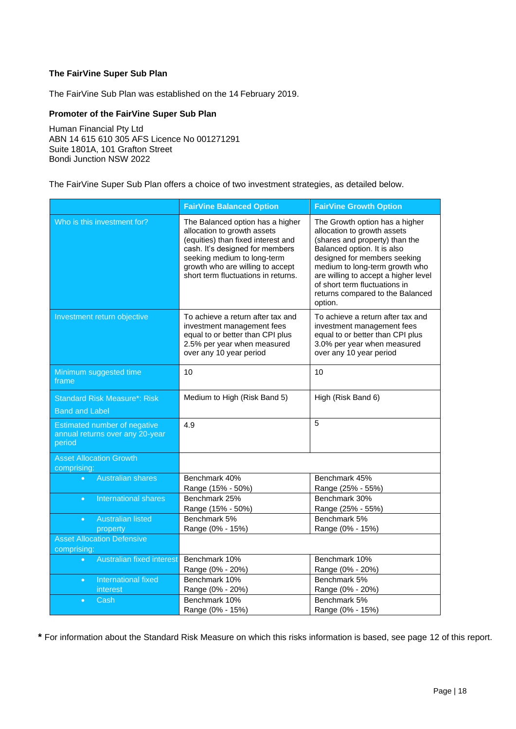## **The FairVine Super Sub Plan**

The FairVine Sub Plan was established on the 14 February 2019.

## **Promoter of the FairVine Super Sub Plan**

Human Financial Pty Ltd ABN 14 615 610 305 AFS Licence No 001271291 Suite 1801A, 101 Grafton Street Bondi Junction NSW 2022

The FairVine Super Sub Plan offers a choice of two investment strategies, as detailed below.

|                                                                           | <b>FairVine Balanced Option</b>                                                                                                                                                                                                                    | <b>FairVine Growth Option</b>                                                                                                                                                                                                                                                                                            |
|---------------------------------------------------------------------------|----------------------------------------------------------------------------------------------------------------------------------------------------------------------------------------------------------------------------------------------------|--------------------------------------------------------------------------------------------------------------------------------------------------------------------------------------------------------------------------------------------------------------------------------------------------------------------------|
| Who is this investment for?                                               | The Balanced option has a higher<br>allocation to growth assets<br>(equities) than fixed interest and<br>cash. It's designed for members<br>seeking medium to long-term<br>growth who are willing to accept<br>short term fluctuations in returns. | The Growth option has a higher<br>allocation to growth assets<br>(shares and property) than the<br>Balanced option. It is also<br>designed for members seeking<br>medium to long-term growth who<br>are willing to accept a higher level<br>of short term fluctuations in<br>returns compared to the Balanced<br>option. |
| Investment return objective                                               | To achieve a return after tax and<br>investment management fees<br>equal to or better than CPI plus<br>2.5% per year when measured<br>over any 10 year period                                                                                      | To achieve a return after tax and<br>investment management fees<br>equal to or better than CPI plus<br>3.0% per year when measured<br>over any 10 year period                                                                                                                                                            |
| Minimum suggested time<br>frame                                           | 10                                                                                                                                                                                                                                                 | 10                                                                                                                                                                                                                                                                                                                       |
| <b>Standard Risk Measure*: Risk</b>                                       | Medium to High (Risk Band 5)                                                                                                                                                                                                                       | High (Risk Band 6)                                                                                                                                                                                                                                                                                                       |
| <b>Band and Label</b>                                                     |                                                                                                                                                                                                                                                    |                                                                                                                                                                                                                                                                                                                          |
| Estimated number of negative<br>annual returns over any 20-year<br>period | 4.9                                                                                                                                                                                                                                                | 5                                                                                                                                                                                                                                                                                                                        |
| <b>Asset Allocation Growth</b><br>comprising:                             |                                                                                                                                                                                                                                                    |                                                                                                                                                                                                                                                                                                                          |
| <b>Australian shares</b><br>$\bullet$                                     | Benchmark 40%                                                                                                                                                                                                                                      | Benchmark 45%                                                                                                                                                                                                                                                                                                            |
|                                                                           | Range (15% - 50%)                                                                                                                                                                                                                                  | Range (25% - 55%)                                                                                                                                                                                                                                                                                                        |
| International shares<br>$\bullet$                                         | Benchmark 25%                                                                                                                                                                                                                                      | Benchmark 30%                                                                                                                                                                                                                                                                                                            |
|                                                                           | Range (15% - 50%)<br>Benchmark 5%                                                                                                                                                                                                                  | Range (25% - 55%)<br>Benchmark 5%                                                                                                                                                                                                                                                                                        |
| <b>Australian listed</b><br>$\bullet$<br>property                         | Range (0% - 15%)                                                                                                                                                                                                                                   | Range (0% - 15%)                                                                                                                                                                                                                                                                                                         |
| <b>Asset Allocation Defensive</b>                                         |                                                                                                                                                                                                                                                    |                                                                                                                                                                                                                                                                                                                          |
| comprising:                                                               |                                                                                                                                                                                                                                                    |                                                                                                                                                                                                                                                                                                                          |
| Australian fixed interest<br>$\bullet$                                    | Benchmark 10%                                                                                                                                                                                                                                      | Benchmark 10%                                                                                                                                                                                                                                                                                                            |
|                                                                           | Range (0% - 20%)                                                                                                                                                                                                                                   | Range (0% - 20%)                                                                                                                                                                                                                                                                                                         |
| International fixed<br>$\bullet$                                          | Benchmark 10%                                                                                                                                                                                                                                      | Benchmark 5%                                                                                                                                                                                                                                                                                                             |
| interest                                                                  | Range (0% - 20%)                                                                                                                                                                                                                                   | Range (0% - 20%)                                                                                                                                                                                                                                                                                                         |
| Cash<br>$\bullet$                                                         | Benchmark 10%                                                                                                                                                                                                                                      | Benchmark 5%                                                                                                                                                                                                                                                                                                             |
|                                                                           | Range (0% - 15%)                                                                                                                                                                                                                                   | Range (0% - 15%)                                                                                                                                                                                                                                                                                                         |

**\*** For information about the Standard Risk Measure on which this risks information is based, see page 12 of this report.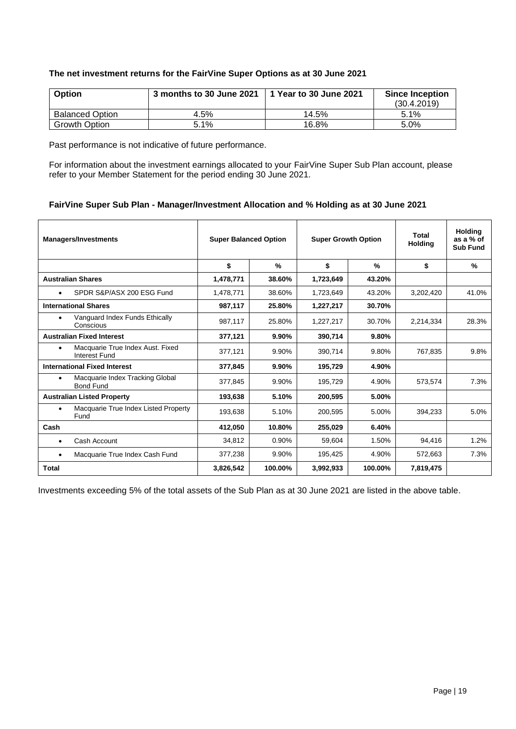## **The net investment returns for the FairVine Super Options as at 30 June 2021**

| Option                 | 3 months to 30 June 2021 | 1 Year to 30 June 2021 | <b>Since Inception</b> |
|------------------------|--------------------------|------------------------|------------------------|
|                        |                          |                        | (30.4.2019)            |
| <b>Balanced Option</b> | 4.5%                     | 14.5%                  | $5.1\%$                |
| <b>Growth Option</b>   | 5.1%                     | 16.8%                  | $5.0\%$                |

Past performance is not indicative of future performance.

For information about the investment earnings allocated to your FairVine Super Sub Plan account, please refer to your Member Statement for the period ending 30 June 2021.

## **FairVine Super Sub Plan - Manager/Investment Allocation and % Holding as at 30 June 2021**

| <b>Managers/Investments</b>                                   | <b>Super Balanced Option</b> |               | <b>Super Growth Option</b> |         | <b>Total</b><br><b>Holding</b> | <b>Holding</b><br>as a % of<br><b>Sub Fund</b> |
|---------------------------------------------------------------|------------------------------|---------------|----------------------------|---------|--------------------------------|------------------------------------------------|
|                                                               | \$                           | $\frac{0}{0}$ | \$                         | $\%$    | \$                             | $\%$                                           |
| <b>Australian Shares</b>                                      | 1,478,771                    | 38.60%        | 1,723,649                  | 43.20%  |                                |                                                |
| SPDR S&P/ASX 200 ESG Fund<br>$\bullet$                        | 1,478,771                    | 38.60%        | 1,723,649                  | 43.20%  | 3,202,420                      | 41.0%                                          |
| <b>International Shares</b>                                   | 987,117                      | 25.80%        | 1,227,217                  | 30.70%  |                                |                                                |
| Vanguard Index Funds Ethically<br>$\bullet$<br>Conscious      | 987,117                      | 25.80%        | 1,227,217                  | 30.70%  | 2,214,334                      | 28.3%                                          |
| <b>Australian Fixed Interest</b>                              | 377,121                      | 9.90%         | 390,714                    | 9.80%   |                                |                                                |
| Macquarie True Index Aust. Fixed<br>٠<br><b>Interest Fund</b> | 377,121                      | 9.90%         | 390,714                    | 9.80%   | 767.835                        | 9.8%                                           |
| <b>International Fixed Interest</b>                           | 377,845                      | 9.90%         | 195,729                    | 4.90%   |                                |                                                |
| Macquarie Index Tracking Global<br>٠<br><b>Bond Fund</b>      | 377,845                      | 9.90%         | 195,729                    | 4.90%   | 573,574                        | 7.3%                                           |
| <b>Australian Listed Property</b>                             | 193,638                      | 5.10%         | 200,595                    | 5.00%   |                                |                                                |
| Macquarie True Index Listed Property<br>٠<br>Fund             | 193,638                      | 5.10%         | 200,595                    | 5.00%   | 394,233                        | 5.0%                                           |
| Cash                                                          | 412.050                      | 10.80%        | 255.029                    | 6.40%   |                                |                                                |
| Cash Account<br>٠                                             | 34,812                       | 0.90%         | 59,604                     | 1.50%   | 94,416                         | 1.2%                                           |
| Macquarie True Index Cash Fund<br>$\bullet$                   | 377,238                      | 9.90%         | 195,425                    | 4.90%   | 572,663                        | 7.3%                                           |
| Total                                                         | 3,826,542                    | 100.00%       | 3,992,933                  | 100.00% | 7,819,475                      |                                                |

Investments exceeding 5% of the total assets of the Sub Plan as at 30 June 2021 are listed in the above table.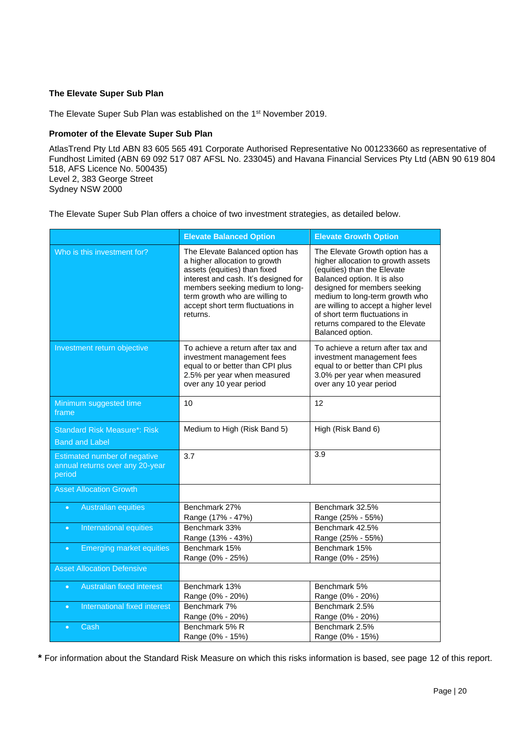## **The Elevate Super Sub Plan**

The Elevate Super Sub Plan was established on the 1st November 2019.

#### **Promoter of the Elevate Super Sub Plan**

AtlasTrend Pty Ltd ABN 83 605 565 491 Corporate Authorised Representative No 001233660 as representative of Fundhost Limited (ABN 69 092 517 087 AFSL No. 233045) and Havana Financial Services Pty Ltd (ABN 90 619 804 518, AFS Licence No. 500435) Level 2, 383 George Street Sydney NSW 2000

The Elevate Super Sub Plan offers a choice of two investment strategies, as detailed below.

|                                                                                  | <b>Elevate Balanced Option</b>                                                                                                                                                                                                                                 | <b>Elevate Growth Option</b>                                                                                                                                                                                                                                                                                                          |
|----------------------------------------------------------------------------------|----------------------------------------------------------------------------------------------------------------------------------------------------------------------------------------------------------------------------------------------------------------|---------------------------------------------------------------------------------------------------------------------------------------------------------------------------------------------------------------------------------------------------------------------------------------------------------------------------------------|
| Who is this investment for?                                                      | The Elevate Balanced option has<br>a higher allocation to growth<br>assets (equities) than fixed<br>interest and cash. It's designed for<br>members seeking medium to long-<br>term growth who are willing to<br>accept short term fluctuations in<br>returns. | The Elevate Growth option has a<br>higher allocation to growth assets<br>(equities) than the Elevate<br>Balanced option. It is also<br>designed for members seeking<br>medium to long-term growth who<br>are willing to accept a higher level<br>of short term fluctuations in<br>returns compared to the Elevate<br>Balanced option. |
| Investment return objective                                                      | To achieve a return after tax and<br>investment management fees<br>equal to or better than CPI plus<br>2.5% per year when measured<br>over any 10 year period                                                                                                  | To achieve a return after tax and<br>investment management fees<br>equal to or better than CPI plus<br>3.0% per year when measured<br>over any 10 year period                                                                                                                                                                         |
| Minimum suggested time<br>frame                                                  | 10                                                                                                                                                                                                                                                             | 12                                                                                                                                                                                                                                                                                                                                    |
| <b>Standard Risk Measure*: Risk</b>                                              | Medium to High (Risk Band 5)                                                                                                                                                                                                                                   | High (Risk Band 6)                                                                                                                                                                                                                                                                                                                    |
| <b>Band and Label</b>                                                            |                                                                                                                                                                                                                                                                |                                                                                                                                                                                                                                                                                                                                       |
| <b>Estimated number of negative</b><br>annual returns over any 20-year<br>period | 3.7                                                                                                                                                                                                                                                            | 3.9                                                                                                                                                                                                                                                                                                                                   |
| <b>Asset Allocation Growth</b>                                                   |                                                                                                                                                                                                                                                                |                                                                                                                                                                                                                                                                                                                                       |
| <b>Australian equities</b><br>$\bullet$                                          | Benchmark 27%<br>Range (17% - 47%)                                                                                                                                                                                                                             | Benchmark 32.5%<br>Range (25% - 55%)                                                                                                                                                                                                                                                                                                  |
| International equities<br>$\bullet$                                              | Benchmark 33%                                                                                                                                                                                                                                                  | Benchmark 42.5%                                                                                                                                                                                                                                                                                                                       |
| <b>Emerging market equities</b><br>$\bullet$                                     | Range (13% - 43%)<br>Benchmark 15%                                                                                                                                                                                                                             | Range (25% - 55%)<br>Benchmark 15%                                                                                                                                                                                                                                                                                                    |
|                                                                                  | Range (0% - 25%)                                                                                                                                                                                                                                               | Range (0% - 25%)                                                                                                                                                                                                                                                                                                                      |
| <b>Asset Allocation Defensive</b>                                                |                                                                                                                                                                                                                                                                |                                                                                                                                                                                                                                                                                                                                       |
| Australian fixed interest<br>$\bullet$                                           | Benchmark 13%                                                                                                                                                                                                                                                  | Benchmark 5%                                                                                                                                                                                                                                                                                                                          |
|                                                                                  | Range (0% - 20%)                                                                                                                                                                                                                                               | Range (0% - 20%)                                                                                                                                                                                                                                                                                                                      |
| International fixed interest<br>$\bullet$                                        | Benchmark 7%<br>Range (0% - 20%)                                                                                                                                                                                                                               | Benchmark 2.5%<br>Range (0% - 20%)                                                                                                                                                                                                                                                                                                    |
| Cash<br>$\bullet$                                                                | Benchmark 5% R                                                                                                                                                                                                                                                 | Benchmark 2.5%                                                                                                                                                                                                                                                                                                                        |
|                                                                                  | Range (0% - 15%)                                                                                                                                                                                                                                               | Range (0% - 15%)                                                                                                                                                                                                                                                                                                                      |
|                                                                                  |                                                                                                                                                                                                                                                                |                                                                                                                                                                                                                                                                                                                                       |

**\*** For information about the Standard Risk Measure on which this risks information is based, see page 12 of this report.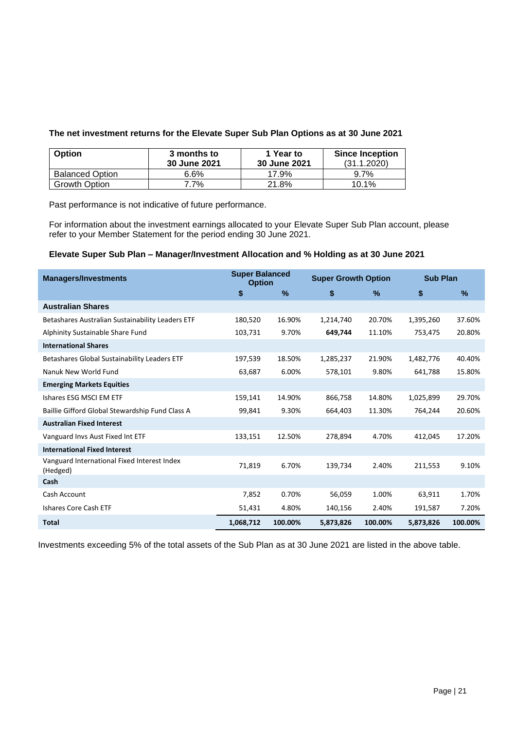#### **The net investment returns for the Elevate Super Sub Plan Options as at 30 June 2021**

| <b>Option</b>          | 3 months to<br>30 June 2021 | 1 Year to<br><b>30 June 2021</b> | <b>Since Inception</b><br>(31.1.2020) |
|------------------------|-----------------------------|----------------------------------|---------------------------------------|
| <b>Balanced Option</b> | 6.6%                        | 17.9%                            | 9.7%                                  |
| <b>Growth Option</b>   | 7.7%                        | 21.8%                            | 10.1%                                 |

Past performance is not indicative of future performance.

For information about the investment earnings allocated to your Elevate Super Sub Plan account, please refer to your Member Statement for the period ending 30 June 2021.

## **Elevate Super Sub Plan – Manager/Investment Allocation and % Holding as at 30 June 2021**

| <b>Managers/Investments</b>                             | <b>Super Balanced</b><br><b>Option</b> |               | <b>Super Growth Option</b> |         | <b>Sub Plan</b> |         |
|---------------------------------------------------------|----------------------------------------|---------------|----------------------------|---------|-----------------|---------|
|                                                         | \$                                     | $\frac{9}{6}$ | \$                         | $\%$    | \$              | $\%$    |
| <b>Australian Shares</b>                                |                                        |               |                            |         |                 |         |
| Betashares Australian Sustainability Leaders ETF        | 180,520                                | 16.90%        | 1,214,740                  | 20.70%  | 1,395,260       | 37.60%  |
| Alphinity Sustainable Share Fund                        | 103,731                                | 9.70%         | 649,744                    | 11.10%  | 753,475         | 20.80%  |
| <b>International Shares</b>                             |                                        |               |                            |         |                 |         |
| Betashares Global Sustainability Leaders ETF            | 197,539                                | 18.50%        | 1,285,237                  | 21.90%  | 1,482,776       | 40.40%  |
| Nanuk New World Fund                                    | 63,687                                 | 6.00%         | 578,101                    | 9.80%   | 641,788         | 15.80%  |
| <b>Emerging Markets Equities</b>                        |                                        |               |                            |         |                 |         |
| Ishares ESG MSCI EM ETF                                 | 159,141                                | 14.90%        | 866,758                    | 14.80%  | 1,025,899       | 29.70%  |
| Baillie Gifford Global Stewardship Fund Class A         | 99,841                                 | 9.30%         | 664,403                    | 11.30%  | 764.244         | 20.60%  |
| <b>Australian Fixed Interest</b>                        |                                        |               |                            |         |                 |         |
| Vanguard Invs Aust Fixed Int ETF                        | 133,151                                | 12.50%        | 278,894                    | 4.70%   | 412,045         | 17.20%  |
| <b>International Fixed Interest</b>                     |                                        |               |                            |         |                 |         |
| Vanguard International Fixed Interest Index<br>(Hedged) | 71,819                                 | 6.70%         | 139,734                    | 2.40%   | 211,553         | 9.10%   |
| Cash                                                    |                                        |               |                            |         |                 |         |
| Cash Account                                            | 7,852                                  | 0.70%         | 56,059                     | 1.00%   | 63,911          | 1.70%   |
| Ishares Core Cash ETF                                   | 51,431                                 | 4.80%         | 140,156                    | 2.40%   | 191,587         | 7.20%   |
| <b>Total</b>                                            | 1,068,712                              | 100.00%       | 5,873,826                  | 100.00% | 5,873,826       | 100.00% |

Investments exceeding 5% of the total assets of the Sub Plan as at 30 June 2021 are listed in the above table.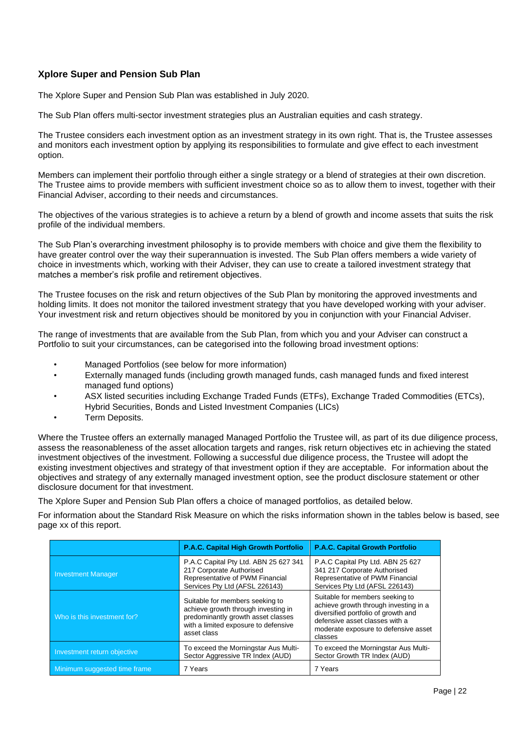## **Xplore Super and Pension Sub Plan**

The Xplore Super and Pension Sub Plan was established in July 2020.

The Sub Plan offers multi-sector investment strategies plus an Australian equities and cash strategy.

The Trustee considers each investment option as an investment strategy in its own right. That is, the Trustee assesses and monitors each investment option by applying its responsibilities to formulate and give effect to each investment option.

Members can implement their portfolio through either a single strategy or a blend of strategies at their own discretion. The Trustee aims to provide members with sufficient investment choice so as to allow them to invest, together with their Financial Adviser, according to their needs and circumstances.

The objectives of the various strategies is to achieve a return by a blend of growth and income assets that suits the risk profile of the individual members.

The Sub Plan's overarching investment philosophy is to provide members with choice and give them the flexibility to have greater control over the way their superannuation is invested. The Sub Plan offers members a wide variety of choice in investments which, working with their Adviser, they can use to create a tailored investment strategy that matches a member's risk profile and retirement objectives.

The Trustee focuses on the risk and return objectives of the Sub Plan by monitoring the approved investments and holding limits. It does not monitor the tailored investment strategy that you have developed working with your adviser. Your investment risk and return objectives should be monitored by you in conjunction with your Financial Adviser.

The range of investments that are available from the Sub Plan, from which you and your Adviser can construct a Portfolio to suit your circumstances, can be categorised into the following broad investment options:

- Managed Portfolios (see below for more information)
- Externally managed funds (including growth managed funds, cash managed funds and fixed interest managed fund options)
- ASX listed securities including Exchange Traded Funds (ETFs), Exchange Traded Commodities (ETCs), Hybrid Securities, Bonds and Listed Investment Companies (LICs)
- Term Deposits.

Where the Trustee offers an externally managed Managed Portfolio the Trustee will, as part of its due diligence process, assess the reasonableness of the asset allocation targets and ranges, risk return objectives etc in achieving the stated investment objectives of the investment. Following a successful due diligence process, the Trustee will adopt the existing investment objectives and strategy of that investment option if they are acceptable. For information about the objectives and strategy of any externally managed investment option, see the product disclosure statement or other disclosure document for that investment.

The Xplore Super and Pension Sub Plan offers a choice of managed portfolios, as detailed below.

For information about the Standard Risk Measure on which the risks information shown in the tables below is based, see page xx of this report.

|                              | <b>P.A.C. Capital High Growth Portfolio</b>                                                                                                                         | <b>P.A.C. Capital Growth Portfolio</b>                                                                                                                                                               |
|------------------------------|---------------------------------------------------------------------------------------------------------------------------------------------------------------------|------------------------------------------------------------------------------------------------------------------------------------------------------------------------------------------------------|
| <b>Investment Manager</b>    | P.A.C Capital Pty Ltd. ABN 25 627 341<br>217 Corporate Authorised<br>Representative of PWM Financial<br>Services Pty Ltd (AFSL 226143)                              | P.A.C Capital Pty Ltd. ABN 25 627<br>341 217 Corporate Authorised<br>Representative of PWM Financial<br>Services Pty Ltd (AFSL 226143)                                                               |
| Who is this investment for?  | Suitable for members seeking to<br>achieve growth through investing in<br>predominantly growth asset classes<br>with a limited exposure to defensive<br>asset class | Suitable for members seeking to<br>achieve growth through investing in a<br>diversified portfolio of growth and<br>defensive asset classes with a<br>moderate exposure to defensive asset<br>classes |
| Investment return objective  | To exceed the Morningstar Aus Multi-<br>Sector Aggressive TR Index (AUD)                                                                                            | To exceed the Morningstar Aus Multi-<br>Sector Growth TR Index (AUD)                                                                                                                                 |
| Minimum suggested time frame | 7 Years                                                                                                                                                             | 7 Years                                                                                                                                                                                              |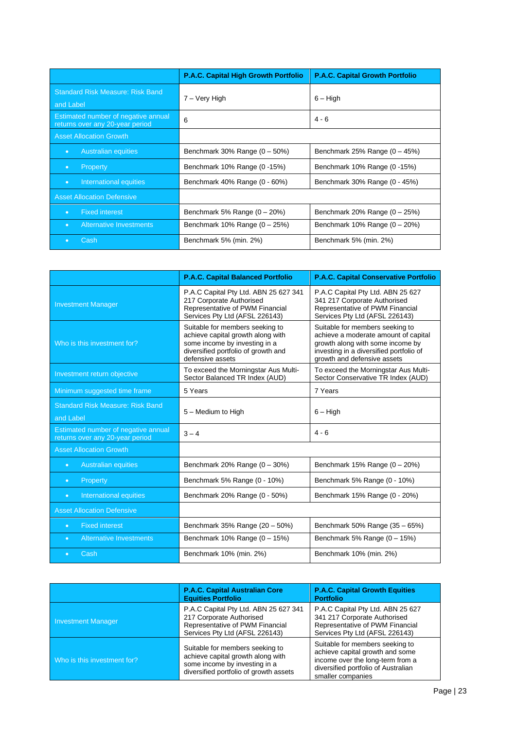|                                                                        | P.A.C. Capital High Growth Portfolio | <b>P.A.C. Capital Growth Portfolio</b> |
|------------------------------------------------------------------------|--------------------------------------|----------------------------------------|
| <b>Standard Risk Measure: Risk Band</b><br>and Label                   | 7 – Very High                        | $6 - High$                             |
| Estimated number of negative annual<br>returns over any 20-year period | 6                                    | $4 - 6$                                |
| <b>Asset Allocation Growth</b>                                         |                                      |                                        |
| <b>Australian equities</b><br>$\bullet$                                | Benchmark 30% Range $(0 - 50%)$      | Benchmark 25% Range $(0 - 45%)$        |
| Property<br>$\bullet$                                                  | Benchmark 10% Range (0-15%)          | Benchmark 10% Range (0-15%)            |
| International equities<br>$\bullet$                                    | Benchmark 40% Range (0 - 60%)        | Benchmark 30% Range (0 - 45%)          |
| <b>Asset Allocation Defensive</b>                                      |                                      |                                        |
| <b>Fixed interest</b><br>$\bullet$                                     | Benchmark 5% Range $(0 - 20%)$       | Benchmark 20% Range $(0 - 25%)$        |
| Alternative Investments<br>$\bullet$                                   | Benchmark $10\%$ Range $(0-25\%)$    | Benchmark $10\%$ Range $(0 - 20\%)$    |
| Cash<br>$\bullet$                                                      | Benchmark 5% (min. 2%)               | Benchmark 5% (min. 2%)                 |

|                                                                        | <b>P.A.C. Capital Balanced Portfolio</b>                                                                                                                         | P.A.C. Capital Conservative Portfolio                                                                                                                                                 |
|------------------------------------------------------------------------|------------------------------------------------------------------------------------------------------------------------------------------------------------------|---------------------------------------------------------------------------------------------------------------------------------------------------------------------------------------|
| <b>Investment Manager</b>                                              | P.A.C Capital Pty Ltd. ABN 25 627 341<br>217 Corporate Authorised<br>Representative of PWM Financial<br>Services Pty Ltd (AFSL 226143)                           | P.A.C Capital Pty Ltd. ABN 25 627<br>341 217 Corporate Authorised<br>Representative of PWM Financial<br>Services Pty Ltd (AFSL 226143)                                                |
| Who is this investment for?                                            | Suitable for members seeking to<br>achieve capital growth along with<br>some income by investing in a<br>diversified portfolio of growth and<br>defensive assets | Suitable for members seeking to<br>achieve a moderate amount of capital<br>growth along with some income by<br>investing in a diversified portfolio of<br>growth and defensive assets |
| Investment return objective                                            | To exceed the Morningstar Aus Multi-<br>Sector Balanced TR Index (AUD)                                                                                           | To exceed the Morningstar Aus Multi-<br>Sector Conservative TR Index (AUD)                                                                                                            |
| Minimum suggested time frame                                           | 5 Years                                                                                                                                                          | 7 Years                                                                                                                                                                               |
| <b>Standard Risk Measure: Risk Band</b><br>and Label                   | 5 - Medium to High                                                                                                                                               | $6 - High$                                                                                                                                                                            |
| Estimated number of negative annual<br>returns over any 20-year period | $3 - 4$                                                                                                                                                          | $4 - 6$                                                                                                                                                                               |
| <b>Asset Allocation Growth</b>                                         |                                                                                                                                                                  |                                                                                                                                                                                       |
| <b>Australian equities</b><br>$\bullet$                                | Benchmark 20% Range $(0 - 30%)$                                                                                                                                  | Benchmark $15%$ Range $(0 - 20%)$                                                                                                                                                     |
| Property<br>$\bullet$                                                  | Benchmark 5% Range (0 - 10%)                                                                                                                                     | Benchmark 5% Range (0 - 10%)                                                                                                                                                          |
| International equities<br>$\bullet$                                    | Benchmark 20% Range (0 - 50%)                                                                                                                                    | Benchmark 15% Range (0 - 20%)                                                                                                                                                         |
| <b>Asset Allocation Defensive</b>                                      |                                                                                                                                                                  |                                                                                                                                                                                       |
| <b>Fixed interest</b><br>$\bullet$                                     | Benchmark 35% Range (20 - 50%)                                                                                                                                   | Benchmark 50% Range (35 - 65%)                                                                                                                                                        |
| <b>Alternative Investments</b><br>$\bullet$                            | Benchmark $10\%$ Range $(0 - 15\%)$                                                                                                                              | Benchmark 5% Range $(0 - 15%)$                                                                                                                                                        |
| Cash<br>$\bullet$                                                      | Benchmark 10% (min. 2%)                                                                                                                                          | Benchmark 10% (min. 2%)                                                                                                                                                               |

|                             | <b>P.A.C. Capital Australian Core</b><br><b>Equities Portfolio</b>                                                                              | <b>P.A.C. Capital Growth Equities</b><br><b>Portfolio</b>                                                                                                          |
|-----------------------------|-------------------------------------------------------------------------------------------------------------------------------------------------|--------------------------------------------------------------------------------------------------------------------------------------------------------------------|
| Investment Manager          | P.A.C Capital Pty Ltd. ABN 25 627 341<br>217 Corporate Authorised<br>Representative of PWM Financial<br>Services Pty Ltd (AFSL 226143)          | P.A.C Capital Pty Ltd. ABN 25 627<br>341 217 Corporate Authorised<br>Representative of PWM Financial<br>Services Pty Ltd (AFSL 226143)                             |
| Who is this investment for? | Suitable for members seeking to<br>achieve capital growth along with<br>some income by investing in a<br>diversified portfolio of growth assets | Suitable for members seeking to<br>achieve capital growth and some<br>income over the long-term from a<br>diversified portfolio of Australian<br>smaller companies |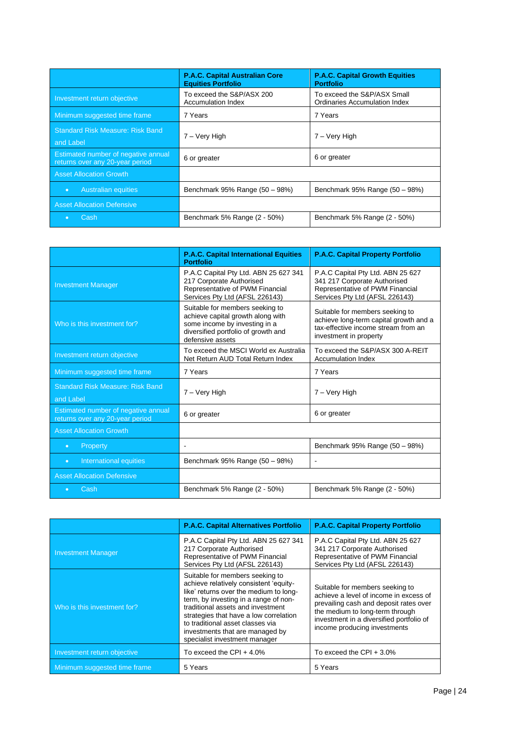|                                                                        | <b>P.A.C. Capital Australian Core</b><br><b>Equities Portfolio</b> | <b>P.A.C. Capital Growth Equities</b><br><b>Portfolio</b>           |
|------------------------------------------------------------------------|--------------------------------------------------------------------|---------------------------------------------------------------------|
| Investment return objective                                            | To exceed the S&P/ASX 200<br><b>Accumulation Index</b>             | To exceed the S&P/ASX Small<br><b>Ordinaries Accumulation Index</b> |
| Minimum suggested time frame                                           | 7 Years                                                            | 7 Years                                                             |
| <b>Standard Risk Measure: Risk Band</b>                                | 7 – Very High                                                      | 7 – Very High                                                       |
| and Label                                                              |                                                                    |                                                                     |
| Estimated number of negative annual<br>returns over any 20-year period | 6 or greater                                                       | 6 or greater                                                        |
| <b>Asset Allocation Growth</b>                                         |                                                                    |                                                                     |
| <b>Australian equities</b><br>$\bullet$                                | Benchmark 95% Range (50 - 98%)                                     | Benchmark 95% Range (50 - 98%)                                      |
| <b>Asset Allocation Defensive</b>                                      |                                                                    |                                                                     |
| 'Cash.<br>$\bullet$                                                    | Benchmark 5% Range (2 - 50%)                                       | Benchmark 5% Range (2 - 50%)                                        |

|                                                                        | <b>P.A.C. Capital International Equities</b><br><b>Portfolio</b>                                                                                                 | P.A.C. Capital Property Portfolio                                                                                                          |
|------------------------------------------------------------------------|------------------------------------------------------------------------------------------------------------------------------------------------------------------|--------------------------------------------------------------------------------------------------------------------------------------------|
| <b>Investment Manager</b>                                              | P.A.C Capital Pty Ltd. ABN 25 627 341<br>217 Corporate Authorised<br>Representative of PWM Financial<br>Services Pty Ltd (AFSL 226143)                           | P.A.C Capital Pty Ltd. ABN 25 627<br>341 217 Corporate Authorised<br>Representative of PWM Financial<br>Services Pty Ltd (AFSL 226143)     |
| Who is this investment for?                                            | Suitable for members seeking to<br>achieve capital growth along with<br>some income by investing in a<br>diversified portfolio of growth and<br>defensive assets | Suitable for members seeking to<br>achieve long-term capital growth and a<br>tax-effective income stream from an<br>investment in property |
| Investment return objective                                            | To exceed the MSCI World ex Australia<br>Net Return AUD Total Return Index                                                                                       | To exceed the S&P/ASX 300 A-REIT<br><b>Accumulation Index</b>                                                                              |
| Minimum suggested time frame                                           | 7 Years                                                                                                                                                          | 7 Years                                                                                                                                    |
| <b>Standard Risk Measure: Risk Band</b><br>and Label                   | 7 – Very High                                                                                                                                                    | 7 – Very High                                                                                                                              |
| Estimated number of negative annual<br>returns over any 20-year period | 6 or greater                                                                                                                                                     | 6 or greater                                                                                                                               |
| <b>Asset Allocation Growth</b>                                         |                                                                                                                                                                  |                                                                                                                                            |
| Property<br>$\bullet$                                                  |                                                                                                                                                                  | Benchmark 95% Range (50 - 98%)                                                                                                             |
| International equities<br>$\bullet$                                    | Benchmark 95% Range (50 - 98%)                                                                                                                                   | ۰                                                                                                                                          |
| <b>Asset Allocation Defensive</b>                                      |                                                                                                                                                                  |                                                                                                                                            |
| Cash                                                                   | Benchmark 5% Range (2 - 50%)                                                                                                                                     | Benchmark 5% Range (2 - 50%)                                                                                                               |

|                              | <b>P.A.C. Capital Alternatives Portfolio</b>                                                                                                                                                                                                                                                                                                        | <b>P.A.C. Capital Property Portfolio</b>                                                                                                                                                                                           |
|------------------------------|-----------------------------------------------------------------------------------------------------------------------------------------------------------------------------------------------------------------------------------------------------------------------------------------------------------------------------------------------------|------------------------------------------------------------------------------------------------------------------------------------------------------------------------------------------------------------------------------------|
| <b>Investment Manager</b>    | P.A.C Capital Pty Ltd. ABN 25 627 341<br>217 Corporate Authorised<br>Representative of PWM Financial<br>Services Pty Ltd (AFSL 226143)                                                                                                                                                                                                              | P.A.C Capital Pty Ltd. ABN 25 627<br>341 217 Corporate Authorised<br>Representative of PWM Financial<br>Services Pty Ltd (AFSL 226143)                                                                                             |
| Who is this investment for?  | Suitable for members seeking to<br>achieve relatively consistent 'equity-<br>like' returns over the medium to long-<br>term, by investing in a range of non-<br>traditional assets and investment<br>strategies that have a low correlation<br>to traditional asset classes via<br>investments that are managed by<br>specialist investment manager | Suitable for members seeking to<br>achieve a level of income in excess of<br>prevailing cash and deposit rates over<br>the medium to long-term through<br>investment in a diversified portfolio of<br>income producing investments |
| Investment return objective  | To exceed the CPI $+$ 4.0%                                                                                                                                                                                                                                                                                                                          | To exceed the CPI $+3.0\%$                                                                                                                                                                                                         |
| Minimum suggested time frame | 5 Years                                                                                                                                                                                                                                                                                                                                             | 5 Years                                                                                                                                                                                                                            |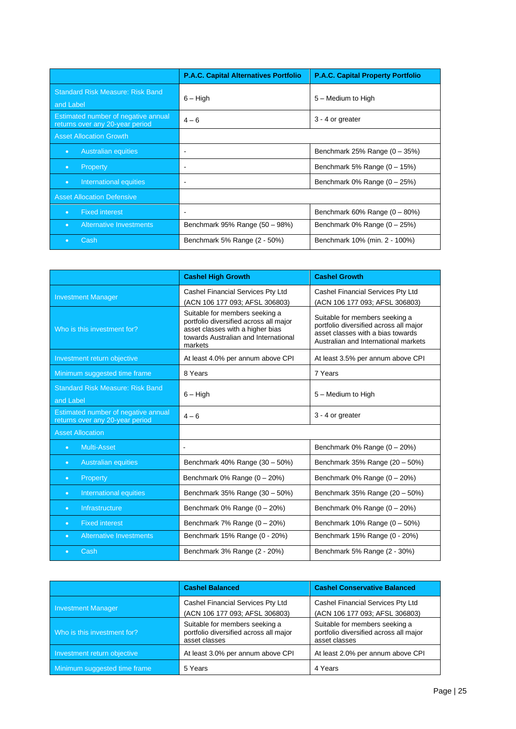|                                                                        | <b>P.A.C. Capital Alternatives Portfolio</b> | <b>P.A.C. Capital Property Portfolio</b> |
|------------------------------------------------------------------------|----------------------------------------------|------------------------------------------|
| <b>Standard Risk Measure: Risk Band</b><br>and Label                   | $6 - High$                                   | 5 - Medium to High                       |
| Estimated number of negative annual<br>returns over any 20-year period | $4 - 6$                                      | 3 - 4 or greater                         |
| <b>Asset Allocation Growth</b>                                         |                                              |                                          |
| <b>Australian equities</b><br>$\bullet$                                |                                              | Benchmark 25% Range $(0 - 35%)$          |
| Property<br>$\bullet$                                                  |                                              | Benchmark 5% Range $(0 - 15%)$           |
| International equities<br>$\bullet$                                    | $\overline{\phantom{a}}$                     | Benchmark $0\%$ Range $(0 - 25\%)$       |
| <b>Asset Allocation Defensive</b>                                      |                                              |                                          |
| <b>Fixed interest</b><br>$\bullet$                                     | $\overline{\phantom{0}}$                     | Benchmark 60% Range $(0 - 80%)$          |
| <b>Alternative Investments</b><br>$\bullet$                            | Benchmark 95% Range (50 - 98%)               | Benchmark $0\%$ Range $(0-25\%)$         |
| Cash<br>$\bullet$                                                      | Benchmark 5% Range (2 - 50%)                 | Benchmark 10% (min. 2 - 100%)            |

|                                                                        | <b>Cashel High Growth</b>                                                                                                                                       | <b>Cashel Growth</b>                                                                                                                                  |
|------------------------------------------------------------------------|-----------------------------------------------------------------------------------------------------------------------------------------------------------------|-------------------------------------------------------------------------------------------------------------------------------------------------------|
| <b>Investment Manager</b>                                              | Cashel Financial Services Pty Ltd<br>(ACN 106 177 093; AFSL 306803)                                                                                             | Cashel Financial Services Pty Ltd<br>(ACN 106 177 093; AFSL 306803)                                                                                   |
| Who is this investment for?                                            | Suitable for members seeking a<br>portfolio diversified across all major<br>asset classes with a higher bias<br>towards Australian and International<br>markets | Suitable for members seeking a<br>portfolio diversified across all major<br>asset classes with a bias towards<br>Australian and International markets |
| Investment return objective                                            | At least 4.0% per annum above CPI                                                                                                                               | At least 3.5% per annum above CPI                                                                                                                     |
| Minimum suggested time frame                                           | 8 Years                                                                                                                                                         | 7 Years                                                                                                                                               |
| <b>Standard Risk Measure: Risk Band</b><br>and Label                   | $6 - High$                                                                                                                                                      | 5 - Medium to High                                                                                                                                    |
| Estimated number of negative annual<br>returns over any 20-year period | $4 - 6$                                                                                                                                                         | 3 - 4 or greater                                                                                                                                      |
| <b>Asset Allocation</b>                                                |                                                                                                                                                                 |                                                                                                                                                       |
| <b>Multi-Asset</b><br>$\bullet$                                        | $\overline{\phantom{a}}$                                                                                                                                        | Benchmark $0\%$ Range $(0 - 20\%)$                                                                                                                    |
| <b>Australian equities</b><br>$\bullet$                                | Benchmark 40% Range (30 - 50%)                                                                                                                                  | Benchmark 35% Range (20 - 50%)                                                                                                                        |
| Property<br>$\bullet$                                                  | Benchmark $0\%$ Range $(0 - 20\%)$                                                                                                                              | Benchmark $0\%$ Range $(0 - 20\%)$                                                                                                                    |
| International equities<br>$\bullet$                                    | Benchmark 35% Range (30 - 50%)                                                                                                                                  | Benchmark 35% Range (20 - 50%)                                                                                                                        |
| Infrastructure<br>$\bullet$                                            | Benchmark $0\%$ Range $(0 - 20\%)$                                                                                                                              | Benchmark $0\%$ Range $(0 - 20\%)$                                                                                                                    |
| <b>Fixed interest</b><br>$\bullet$                                     | Benchmark 7% Range $(0 - 20%)$                                                                                                                                  | Benchmark 10% Range (0 - 50%)                                                                                                                         |
| <b>Alternative Investments</b><br>$\bullet$                            | Benchmark 15% Range (0 - 20%)                                                                                                                                   | Benchmark 15% Range (0 - 20%)                                                                                                                         |
| Cash<br>$\bullet$                                                      | Benchmark 3% Range (2 - 20%)                                                                                                                                    | Benchmark 5% Range (2 - 30%)                                                                                                                          |

|                              | <b>Cashel Balanced</b>                                                                    | <b>Cashel Conservative Balanced</b>                                                       |
|------------------------------|-------------------------------------------------------------------------------------------|-------------------------------------------------------------------------------------------|
| <b>Investment Manager</b>    | Cashel Financial Services Pty Ltd<br>(ACN 106 177 093; AFSL 306803)                       | Cashel Financial Services Pty Ltd<br>(ACN 106 177 093; AFSL 306803)                       |
| Who is this investment for?  | Suitable for members seeking a<br>portfolio diversified across all major<br>asset classes | Suitable for members seeking a<br>portfolio diversified across all major<br>asset classes |
| Investment return objective  | At least 3.0% per annum above CPI                                                         | At least 2.0% per annum above CPI                                                         |
| Minimum suggested time frame | 5 Years                                                                                   | 4 Years                                                                                   |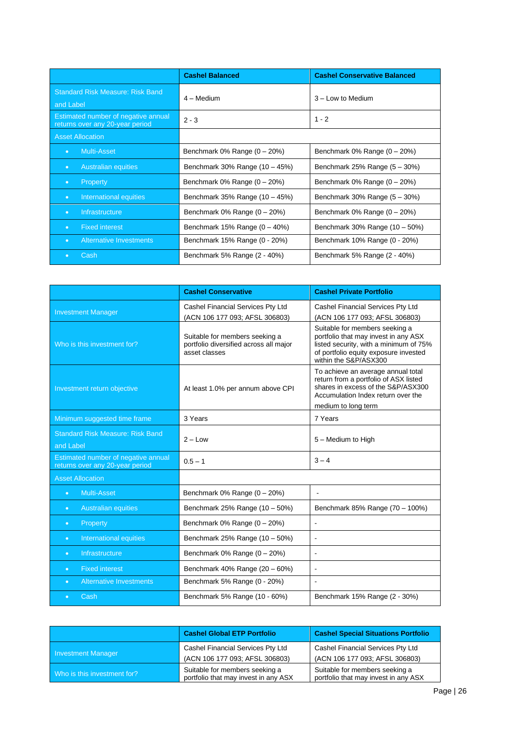|                                                                        | <b>Cashel Balanced</b>             | <b>Cashel Conservative Balanced</b> |
|------------------------------------------------------------------------|------------------------------------|-------------------------------------|
| <b>Standard Risk Measure: Risk Band</b><br>and Label                   | $4 -$ Medium                       | $3 -$ Low to Medium                 |
| Estimated number of negative annual<br>returns over any 20-year period | $2 - 3$                            | $1 - 2$                             |
| <b>Asset Allocation</b>                                                |                                    |                                     |
| <b>Multi-Asset</b><br>$\bullet$                                        | Benchmark $0\%$ Range $(0 - 20\%)$ | Benchmark $0\%$ Range $(0 - 20\%)$  |
| <b>Australian equities</b><br>$\bullet$                                | Benchmark 30% Range (10 - 45%)     | Benchmark 25% Range $(5 - 30%)$     |
| Property<br>$\bullet$                                                  | Benchmark $0\%$ Range $(0 - 20\%)$ | Benchmark $0\%$ Range $(0 - 20\%)$  |
| International equities<br>$\bullet$                                    | Benchmark 35% Range $(10 - 45%)$   | Benchmark 30% Range (5 - 30%)       |
| Infrastructure<br>$\bullet$                                            | Benchmark $0\%$ Range $(0 - 20\%)$ | Benchmark $0\%$ Range $(0 - 20\%)$  |
| <b>Fixed interest</b><br>$\bullet$                                     | Benchmark $15%$ Range $(0 - 40%)$  | Benchmark 30% Range (10 - 50%)      |
| Alternative Investments<br>$\bullet$                                   | Benchmark 15% Range (0 - 20%)      | Benchmark 10% Range (0 - 20%)       |
| Cash<br>$\bullet$                                                      | Benchmark 5% Range (2 - 40%)       | Benchmark 5% Range (2 - 40%)        |

|                                                                        | <b>Cashel Conservative</b>                                                                | <b>Cashel Private Portfolio</b>                                                                                                                                                    |
|------------------------------------------------------------------------|-------------------------------------------------------------------------------------------|------------------------------------------------------------------------------------------------------------------------------------------------------------------------------------|
| <b>Investment Manager</b>                                              | Cashel Financial Services Pty Ltd<br>(ACN 106 177 093; AFSL 306803)                       | Cashel Financial Services Pty Ltd<br>(ACN 106 177 093; AFSL 306803)                                                                                                                |
| Who is this investment for?                                            | Suitable for members seeking a<br>portfolio diversified across all major<br>asset classes | Suitable for members seeking a<br>portfolio that may invest in any ASX<br>listed security, with a minimum of 75%<br>of portfolio equity exposure invested<br>within the S&P/ASX300 |
| Investment return objective                                            | At least 1.0% per annum above CPI                                                         | To achieve an average annual total<br>return from a portfolio of ASX listed<br>shares in excess of the S&P/ASX300<br>Accumulation Index return over the<br>medium to long term     |
| Minimum suggested time frame                                           | 3 Years                                                                                   | 7 Years                                                                                                                                                                            |
| <b>Standard Risk Measure: Risk Band</b><br>and Label                   | $2 - Low$                                                                                 | 5 - Medium to High                                                                                                                                                                 |
| Estimated number of negative annual<br>returns over any 20-year period | $0.5 - 1$                                                                                 | $3 - 4$                                                                                                                                                                            |
| <b>Asset Allocation</b>                                                |                                                                                           |                                                                                                                                                                                    |
| <b>Multi-Asset</b><br>$\bullet$                                        | Benchmark $0\%$ Range $(0 - 20\%)$                                                        | $\overline{a}$                                                                                                                                                                     |
| <b>Australian equities</b><br>$\bullet$                                | Benchmark 25% Range (10 - 50%)                                                            | Benchmark 85% Range (70 - 100%)                                                                                                                                                    |
| Property<br>$\bullet$                                                  | Benchmark $0\%$ Range $(0 - 20\%)$                                                        | $\blacksquare$                                                                                                                                                                     |
| International equities<br>$\bullet$                                    | Benchmark 25% Range (10 - 50%)                                                            |                                                                                                                                                                                    |
| Infrastructure<br>$\bullet$                                            | Benchmark $0\%$ Range $(0 - 20\%)$                                                        | $\blacksquare$                                                                                                                                                                     |
| <b>Fixed interest</b><br>$\bullet$                                     | Benchmark 40% Range (20 - 60%)                                                            |                                                                                                                                                                                    |
| <b>Alternative Investments</b><br>$\bullet$                            | Benchmark 5% Range (0 - 20%)                                                              |                                                                                                                                                                                    |
| Cash<br>$\blacksquare$                                                 | Benchmark 5% Range (10 - 60%)                                                             | Benchmark 15% Range (2 - 30%)                                                                                                                                                      |

|                             | <b>Cashel Global ETP Portfolio</b>                                     | <b>Cashel Special Situations Portfolio</b>                             |
|-----------------------------|------------------------------------------------------------------------|------------------------------------------------------------------------|
| Investment Manager          | Cashel Financial Services Pty Ltd<br>(ACN 106 177 093; AFSL 306803)    | Cashel Financial Services Pty Ltd<br>(ACN 106 177 093; AFSL 306803)    |
| Who is this investment for? | Suitable for members seeking a<br>portfolio that may invest in any ASX | Suitable for members seeking a<br>portfolio that may invest in any ASX |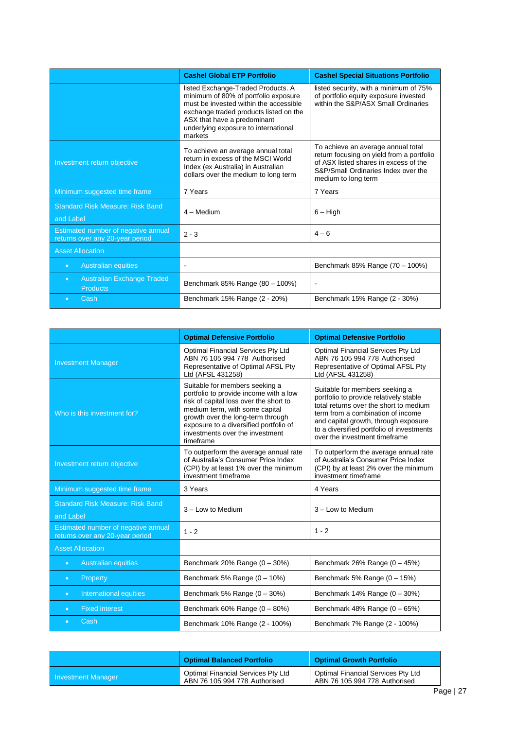|                                                                        | <b>Cashel Global ETP Portfolio</b>                                                                                                                                                                                                               | <b>Cashel Special Situations Portfolio</b>                                                                                                                                             |  |
|------------------------------------------------------------------------|--------------------------------------------------------------------------------------------------------------------------------------------------------------------------------------------------------------------------------------------------|----------------------------------------------------------------------------------------------------------------------------------------------------------------------------------------|--|
|                                                                        | listed Exchange-Traded Products. A<br>minimum of 80% of portfolio exposure<br>must be invested within the accessible<br>exchange traded products listed on the<br>ASX that have a predominant<br>underlying exposure to international<br>markets | listed security, with a minimum of 75%<br>of portfolio equity exposure invested<br>within the S&P/ASX Small Ordinaries                                                                 |  |
| Investment return objective                                            | To achieve an average annual total<br>return in excess of the MSCI World<br>Index (ex Australia) in Australian<br>dollars over the medium to long term                                                                                           | To achieve an average annual total<br>return focusing on yield from a portfolio<br>of ASX listed shares in excess of the<br>S&P/Small Ordinaries Index over the<br>medium to long term |  |
| Minimum suggested time frame                                           | 7 Years                                                                                                                                                                                                                                          | 7 Years                                                                                                                                                                                |  |
| <b>Standard Risk Measure: Risk Band</b><br>and Label                   | 4 - Medium                                                                                                                                                                                                                                       | $6 - High$                                                                                                                                                                             |  |
| Estimated number of negative annual<br>returns over any 20-year period | $2 - 3$                                                                                                                                                                                                                                          | $4 - 6$                                                                                                                                                                                |  |
| <b>Asset Allocation</b>                                                |                                                                                                                                                                                                                                                  |                                                                                                                                                                                        |  |
| <b>Australian equities</b><br>$\bullet$                                |                                                                                                                                                                                                                                                  | Benchmark 85% Range (70 - 100%)                                                                                                                                                        |  |
| <b>Australian Exchange Traded</b><br>$\bullet$<br><b>Products</b>      | Benchmark 85% Range (80 - 100%)                                                                                                                                                                                                                  |                                                                                                                                                                                        |  |
| Cash<br>$\bullet$                                                      | Benchmark 15% Range (2 - 20%)                                                                                                                                                                                                                    | Benchmark 15% Range (2 - 30%)                                                                                                                                                          |  |

|                                                                        | <b>Optimal Defensive Portfolio</b><br><b>Optimal Defensive Portfolio</b>                                                                                                                                                                                                            |                                                                                                                                                                                                                                                                               |  |
|------------------------------------------------------------------------|-------------------------------------------------------------------------------------------------------------------------------------------------------------------------------------------------------------------------------------------------------------------------------------|-------------------------------------------------------------------------------------------------------------------------------------------------------------------------------------------------------------------------------------------------------------------------------|--|
| <b>Investment Manager</b>                                              | Optimal Financial Services Pty Ltd<br>ABN 76 105 994 778 Authorised<br>Representative of Optimal AFSL Pty<br>Ltd (AFSL 431258)                                                                                                                                                      | Optimal Financial Services Pty Ltd<br>ABN 76 105 994 778 Authorised<br>Representative of Optimal AFSL Pty<br>Ltd (AFSL 431258)                                                                                                                                                |  |
| Who is this investment for?                                            | Suitable for members seeking a<br>portfolio to provide income with a low<br>risk of capital loss over the short to<br>medium term, with some capital<br>growth over the long-term through<br>exposure to a diversified portfolio of<br>investments over the investment<br>timeframe | Suitable for members seeking a<br>portfolio to provide relatively stable<br>total returns over the short to medium<br>term from a combination of income<br>and capital growth, through exposure<br>to a diversified portfolio of investments<br>over the investment timeframe |  |
| Investment return objective                                            | To outperform the average annual rate<br>of Australia's Consumer Price Index<br>(CPI) by at least 1% over the minimum<br>investment timeframe                                                                                                                                       | To outperform the average annual rate<br>of Australia's Consumer Price Index<br>(CPI) by at least 2% over the minimum<br>investment timeframe                                                                                                                                 |  |
| Minimum suggested time frame                                           | 3 Years                                                                                                                                                                                                                                                                             | 4 Years                                                                                                                                                                                                                                                                       |  |
| <b>Standard Risk Measure: Risk Band</b><br>and Label                   | 3 - Low to Medium                                                                                                                                                                                                                                                                   | 3 - Low to Medium                                                                                                                                                                                                                                                             |  |
| Estimated number of negative annual<br>returns over any 20-year period | $1 - 2$                                                                                                                                                                                                                                                                             | $1 - 2$                                                                                                                                                                                                                                                                       |  |
| <b>Asset Allocation</b>                                                |                                                                                                                                                                                                                                                                                     |                                                                                                                                                                                                                                                                               |  |
| <b>Australian equities</b><br>$\bullet$                                | Benchmark 20% Range $(0 - 30%)$                                                                                                                                                                                                                                                     | Benchmark 26% Range $(0 - 45%)$                                                                                                                                                                                                                                               |  |
| Property<br>$\bullet$                                                  | Benchmark 5% Range $(0 - 10\%)$                                                                                                                                                                                                                                                     | Benchmark 5% Range $(0 - 15%)$                                                                                                                                                                                                                                                |  |
| International equities<br>$\bullet$                                    | Benchmark 5% Range $(0 - 30%)$                                                                                                                                                                                                                                                      | Benchmark $14\%$ Range $(0 - 30\%)$                                                                                                                                                                                                                                           |  |
| <b>Fixed interest</b><br>$\bullet$                                     | Benchmark 60% Range $(0 - 80%)$                                                                                                                                                                                                                                                     | Benchmark $48\%$ Range $(0 - 65\%)$                                                                                                                                                                                                                                           |  |
| Cash                                                                   | Benchmark 10% Range (2 - 100%)                                                                                                                                                                                                                                                      | Benchmark 7% Range (2 - 100%)                                                                                                                                                                                                                                                 |  |

|                    | <b>Optimal Balanced Portfolio</b>                                   | <b>Optimal Growth Portfolio</b>                                     |
|--------------------|---------------------------------------------------------------------|---------------------------------------------------------------------|
| Investment Manager | Optimal Financial Services Pty Ltd<br>ABN 76 105 994 778 Authorised | Optimal Financial Services Pty Ltd<br>ABN 76 105 994 778 Authorised |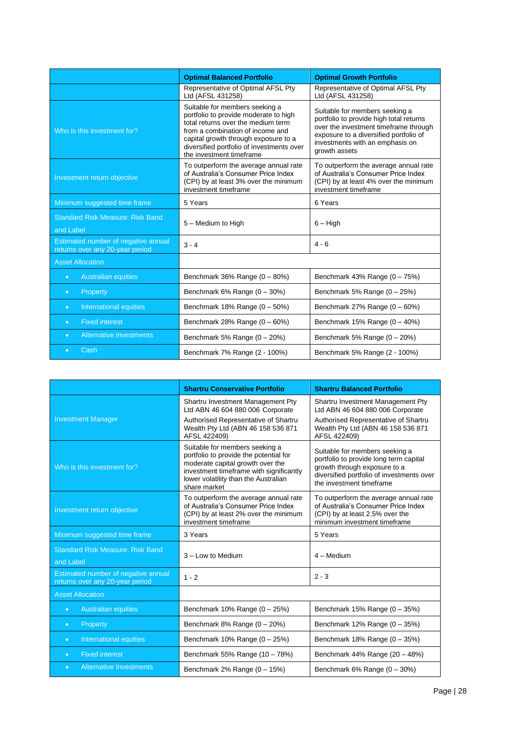|                                                                        | <b>Optimal Balanced Portfolio</b>                                                                                                                                                                                                                                  | <b>Optimal Growth Portfolio</b>                                                                                                                                                                                  |  |
|------------------------------------------------------------------------|--------------------------------------------------------------------------------------------------------------------------------------------------------------------------------------------------------------------------------------------------------------------|------------------------------------------------------------------------------------------------------------------------------------------------------------------------------------------------------------------|--|
|                                                                        | Representative of Optimal AFSL Pty<br>Ltd (AFSL 431258)                                                                                                                                                                                                            | Representative of Optimal AFSL Pty<br>Ltd (AFSL 431258)                                                                                                                                                          |  |
| Who is this investment for?                                            | Suitable for members seeking a<br>portfolio to provide moderate to high<br>total returns over the medium term<br>from a combination of income and<br>capital growth through exposure to a<br>diversified portfolio of investments over<br>the investment timeframe | Suitable for members seeking a<br>portfolio to provide high total returns<br>over the investment timeframe through<br>exposure to a diversified portfolio of<br>investments with an emphasis on<br>growth assets |  |
| Investment return objective                                            | To outperform the average annual rate<br>of Australia's Consumer Price Index<br>(CPI) by at least 3% over the minimum<br>investment timeframe                                                                                                                      | To outperform the average annual rate<br>of Australia's Consumer Price Index<br>(CPI) by at least 4% over the minimum<br>investment timeframe                                                                    |  |
| Minimum suggested time frame                                           | 5 Years                                                                                                                                                                                                                                                            | 6 Years                                                                                                                                                                                                          |  |
| <b>Standard Risk Measure: Risk Band</b><br>and Label                   | 5 - Medium to High                                                                                                                                                                                                                                                 | $6 - High$                                                                                                                                                                                                       |  |
| Estimated number of negative annual<br>returns over any 20-year period | $3 - 4$                                                                                                                                                                                                                                                            | $4 - 6$                                                                                                                                                                                                          |  |
| <b>Asset Allocation</b>                                                |                                                                                                                                                                                                                                                                    |                                                                                                                                                                                                                  |  |
| <b>Australian equities</b><br>$\bullet$                                | Benchmark 36% Range (0 - 80%)                                                                                                                                                                                                                                      | Benchmark $43\%$ Range $(0 - 75\%)$                                                                                                                                                                              |  |
| Property<br>$\bullet$                                                  | Benchmark $6\%$ Range $(0 - 30\%)$                                                                                                                                                                                                                                 | Benchmark 5% Range $(0 - 25%)$                                                                                                                                                                                   |  |
| International equities<br>$\bullet$                                    | Benchmark 18% Range $(0 - 50\%)$                                                                                                                                                                                                                                   | Benchmark 27% Range $(0 - 60%)$                                                                                                                                                                                  |  |
| <b>Fixed interest</b><br>$\bullet$                                     | Benchmark 28% Range $(0 - 60\%)$                                                                                                                                                                                                                                   | Benchmark $15%$ Range $(0 - 40%)$                                                                                                                                                                                |  |
| <b>Alternative Investments</b><br>$\bullet$                            | Benchmark 5% Range $(0 - 20%)$                                                                                                                                                                                                                                     | Benchmark 5% Range $(0 - 20%)$                                                                                                                                                                                   |  |
| Cash<br>$\bullet$                                                      | Benchmark 7% Range (2 - 100%)                                                                                                                                                                                                                                      | Benchmark 5% Range (2 - 100%)                                                                                                                                                                                    |  |

|                                                                        | <b>Shartru Conservative Portfolio</b><br><b>Shartru Balanced Portfolio</b>                                                                                                                                      |                                                                                                                                                                                   |  |
|------------------------------------------------------------------------|-----------------------------------------------------------------------------------------------------------------------------------------------------------------------------------------------------------------|-----------------------------------------------------------------------------------------------------------------------------------------------------------------------------------|--|
|                                                                        | Shartru Investment Management Pty<br>Ltd ABN 46 604 880 006 Corporate                                                                                                                                           | Shartru Investment Management Pty<br>Ltd ABN 46 604 880 006 Corporate                                                                                                             |  |
| <b>Investment Manager</b>                                              | Authorised Representative of Shartru<br>Wealth Pty Ltd (ABN 46 158 536 871<br>AFSL 422409)                                                                                                                      | Authorised Representative of Shartru<br>Wealth Pty Ltd (ABN 46 158 536 871<br>AFSL 422409)                                                                                        |  |
| Who is this investment for?                                            | Suitable for members seeking a<br>portfolio to provide the potential for<br>moderate capital growth over the<br>investment timeframe with significantly<br>lower volatility than the Australian<br>share market | Suitable for members seeking a<br>portfolio to provide long term capital<br>growth through exposure to a<br>diversified portfolio of investments over<br>the investment timeframe |  |
| Investment return objective                                            | To outperform the average annual rate<br>of Australia's Consumer Price Index<br>(CPI) by at least 2% over the minimum<br>investment timeframe                                                                   | To outperform the average annual rate<br>of Australia's Consumer Price Index<br>(CPI) by at least 2.5% over the<br>minimum investment timeframe                                   |  |
| Minimum suggested time frame                                           | 3 Years                                                                                                                                                                                                         | 5 Years                                                                                                                                                                           |  |
| <b>Standard Risk Measure: Risk Band</b><br>and Label                   | 3 - Low to Medium                                                                                                                                                                                               | $4 - Medium$                                                                                                                                                                      |  |
| Estimated number of negative annual<br>returns over any 20-year period | $1 - 2$                                                                                                                                                                                                         | $2 - 3$                                                                                                                                                                           |  |
| <b>Asset Allocation</b>                                                |                                                                                                                                                                                                                 |                                                                                                                                                                                   |  |
| <b>Australian equities</b><br>$\bullet$                                | Benchmark $10\%$ Range $(0 - 25\%)$                                                                                                                                                                             | Benchmark $15%$ Range $(0 - 35%)$                                                                                                                                                 |  |
| Property<br>$\bullet$                                                  | Benchmark $8\%$ Range $(0 - 20\%)$                                                                                                                                                                              | Benchmark $12\%$ Range $(0 - 35\%)$                                                                                                                                               |  |
| International equities<br>$\bullet$                                    | Benchmark $10\%$ Range $(0 - 25\%)$                                                                                                                                                                             | Benchmark 18% Range $(0 - 35%)$                                                                                                                                                   |  |
| <b>Fixed interest</b><br>$\bullet$                                     | Benchmark 55% Range (10 - 78%)                                                                                                                                                                                  | Benchmark 44% Range (20 - 48%)                                                                                                                                                    |  |
| <b>Alternative Investments</b><br>$\bullet$                            | Benchmark 2% Range $(0 - 15%)$                                                                                                                                                                                  | Benchmark $6\%$ Range $(0 - 30\%)$                                                                                                                                                |  |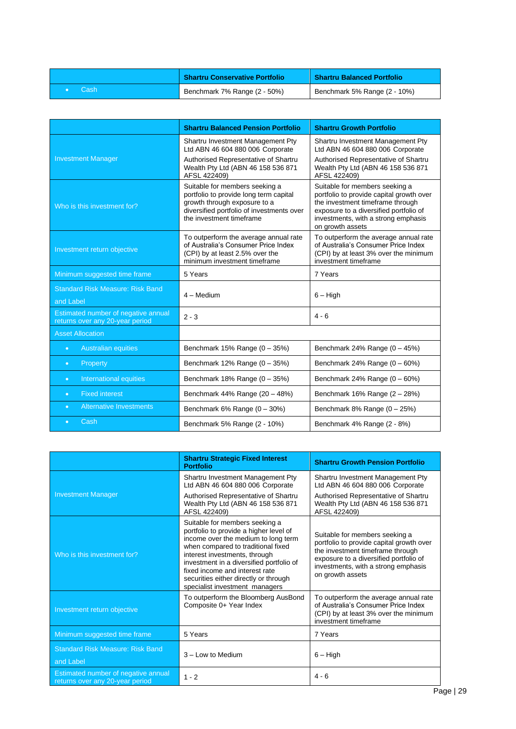|       | <b>Shartru Conservative Portfolio</b> | <b>Shartru Balanced Portfolio</b> |
|-------|---------------------------------------|-----------------------------------|
| -Cash | Benchmark 7% Range (2 - 50%)          | Benchmark 5% Range (2 - 10%)      |

|                                                                        | <b>Shartru Balanced Pension Portfolio</b><br><b>Shartru Growth Portfolio</b>                                                                                                      |                                                                                                                                                                                                                     |  |
|------------------------------------------------------------------------|-----------------------------------------------------------------------------------------------------------------------------------------------------------------------------------|---------------------------------------------------------------------------------------------------------------------------------------------------------------------------------------------------------------------|--|
|                                                                        | Shartru Investment Management Pty<br>Ltd ABN 46 604 880 006 Corporate                                                                                                             | Shartru Investment Management Pty<br>Ltd ABN 46 604 880 006 Corporate                                                                                                                                               |  |
| <b>Investment Manager</b>                                              | Authorised Representative of Shartru<br>Wealth Pty Ltd (ABN 46 158 536 871<br>AFSL 422409)                                                                                        | Authorised Representative of Shartru<br>Wealth Pty Ltd (ABN 46 158 536 871<br>AFSL 422409)                                                                                                                          |  |
| Who is this investment for?                                            | Suitable for members seeking a<br>portfolio to provide long term capital<br>growth through exposure to a<br>diversified portfolio of investments over<br>the investment timeframe | Suitable for members seeking a<br>portfolio to provide capital growth over<br>the investment timeframe through<br>exposure to a diversified portfolio of<br>investments, with a strong emphasis<br>on growth assets |  |
| Investment return objective                                            | To outperform the average annual rate<br>of Australia's Consumer Price Index<br>(CPI) by at least 2.5% over the<br>minimum investment timeframe                                   | To outperform the average annual rate<br>of Australia's Consumer Price Index<br>(CPI) by at least 3% over the minimum<br>investment timeframe                                                                       |  |
| Minimum suggested time frame                                           | 5 Years                                                                                                                                                                           | 7 Years                                                                                                                                                                                                             |  |
| <b>Standard Risk Measure: Risk Band</b><br>and Label                   | 4 - Medium                                                                                                                                                                        | $6 - High$                                                                                                                                                                                                          |  |
| Estimated number of negative annual<br>returns over any 20-year period | $2 - 3$                                                                                                                                                                           | $4 - 6$                                                                                                                                                                                                             |  |
| <b>Asset Allocation</b>                                                |                                                                                                                                                                                   |                                                                                                                                                                                                                     |  |
| <b>Australian equities</b><br>$\bullet$                                | Benchmark $15%$ Range $(0 - 35%)$                                                                                                                                                 | Benchmark 24% Range $(0 - 45%)$                                                                                                                                                                                     |  |
| Property<br>$\bullet$                                                  | Benchmark 12% Range $(0 - 35%)$                                                                                                                                                   | Benchmark 24% Range $(0 - 60\%)$                                                                                                                                                                                    |  |
| International equities<br>$\bullet$                                    | Benchmark 18% Range (0 - 35%)                                                                                                                                                     | Benchmark 24% Range $(0 - 60%)$                                                                                                                                                                                     |  |
| <b>Fixed interest</b><br>$\bullet$                                     | Benchmark 44% Range (20 - 48%)                                                                                                                                                    | Benchmark $16\%$ Range $(2 - 28\%)$                                                                                                                                                                                 |  |
| <b>Alternative Investments</b><br>$\bullet$                            | Benchmark $6\%$ Range $(0 - 30\%)$                                                                                                                                                | Benchmark $8\%$ Range $(0 - 25\%)$                                                                                                                                                                                  |  |
| Cash<br>o                                                              | Benchmark 5% Range (2 - 10%)                                                                                                                                                      | Benchmark 4% Range (2 - 8%)                                                                                                                                                                                         |  |

|                                                                        | <b>Shartru Strategic Fixed Interest</b><br><b>Portfolio</b>                                                                                                                                                                                                                                                                                     | <b>Shartru Growth Pension Portfolio</b>                                                                                                                                                                             |
|------------------------------------------------------------------------|-------------------------------------------------------------------------------------------------------------------------------------------------------------------------------------------------------------------------------------------------------------------------------------------------------------------------------------------------|---------------------------------------------------------------------------------------------------------------------------------------------------------------------------------------------------------------------|
|                                                                        | Shartru Investment Management Pty<br>Ltd ABN 46 604 880 006 Corporate                                                                                                                                                                                                                                                                           | Shartru Investment Management Pty<br>Ltd ABN 46 604 880 006 Corporate                                                                                                                                               |
| <b>Investment Manager</b>                                              | Authorised Representative of Shartru<br>Wealth Pty Ltd (ABN 46 158 536 871<br>AFSL 422409)                                                                                                                                                                                                                                                      | Authorised Representative of Shartru<br>Wealth Pty Ltd (ABN 46 158 536 871<br>AFSL 422409)                                                                                                                          |
| Who is this investment for?                                            | Suitable for members seeking a<br>portfolio to provide a higher level of<br>income over the medium to long term<br>when compared to traditional fixed<br>interest investments, through<br>investment in a diversified portfolio of<br>fixed income and interest rate<br>securities either directly or through<br>specialist investment managers | Suitable for members seeking a<br>portfolio to provide capital growth over<br>the investment timeframe through<br>exposure to a diversified portfolio of<br>investments, with a strong emphasis<br>on growth assets |
| Investment return objective                                            | To outperform the Bloomberg AusBond<br>Composite 0+ Year Index                                                                                                                                                                                                                                                                                  | To outperform the average annual rate<br>of Australia's Consumer Price Index<br>(CPI) by at least 3% over the minimum<br>investment timeframe                                                                       |
| Minimum suggested time frame                                           | 5 Years                                                                                                                                                                                                                                                                                                                                         | 7 Years                                                                                                                                                                                                             |
| <b>Standard Risk Measure: Risk Band</b><br>and Label                   | 3 - Low to Medium                                                                                                                                                                                                                                                                                                                               | $6 - High$                                                                                                                                                                                                          |
| Estimated number of negative annual<br>returns over any 20-year period | $1 - 2$                                                                                                                                                                                                                                                                                                                                         | $4 - 6$                                                                                                                                                                                                             |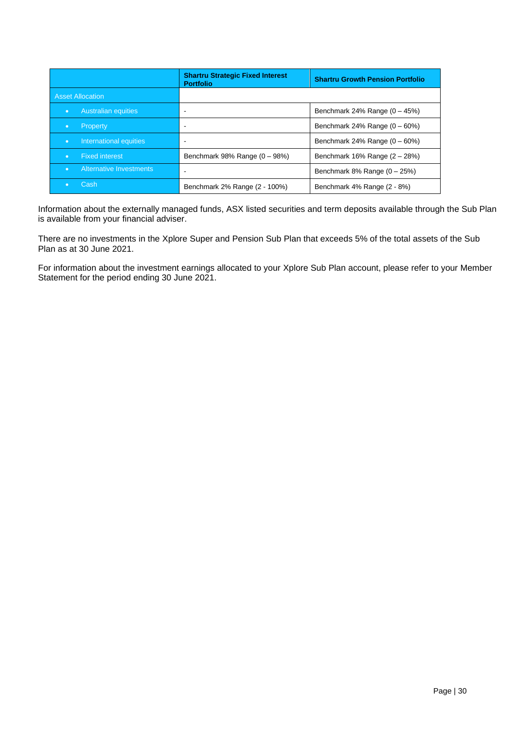|                                             | <b>Shartru Strategic Fixed Interest</b><br><b>Portfolio</b> | <b>Shartru Growth Pension Portfolio</b> |  |
|---------------------------------------------|-------------------------------------------------------------|-----------------------------------------|--|
| <b>Asset Allocation</b>                     |                                                             |                                         |  |
| Australian equities<br>$\bullet$            |                                                             | Benchmark 24% Range $(0 - 45%)$         |  |
| Property                                    |                                                             | Benchmark 24% Range $(0 - 60\%)$        |  |
| International equities<br>$\bullet$         |                                                             | Benchmark 24% Range $(0 - 60\%)$        |  |
| <b>Fixed interest</b><br>$\bullet$          | Benchmark 98% Range $(0 - 98%)$                             | Benchmark $16\%$ Range $(2 - 28\%)$     |  |
| <b>Alternative Investments</b><br>$\bullet$ |                                                             | Benchmark $8\%$ Range $(0 - 25\%)$      |  |
| 'Cash≀                                      | Benchmark 2% Range (2 - 100%)                               | Benchmark 4% Range (2 - 8%)             |  |

Information about the externally managed funds, ASX listed securities and term deposits available through the Sub Plan is available from your financial adviser.

There are no investments in the Xplore Super and Pension Sub Plan that exceeds 5% of the total assets of the Sub Plan as at 30 June 2021.

For information about the investment earnings allocated to your Xplore Sub Plan account, please refer to your Member Statement for the period ending 30 June 2021.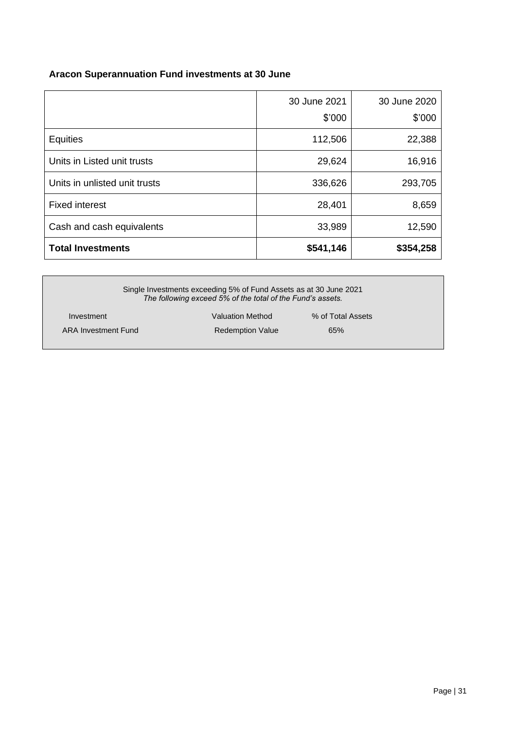## **Aracon Superannuation Fund investments at 30 June**

|                               | 30 June 2021<br>\$'000 | 30 June 2020<br>\$'000 |
|-------------------------------|------------------------|------------------------|
| <b>Equities</b>               | 112,506                | 22,388                 |
| Units in Listed unit trusts   | 29,624                 | 16,916                 |
| Units in unlisted unit trusts | 336,626                | 293,705                |
| <b>Fixed interest</b>         | 28,401                 | 8,659                  |
| Cash and cash equivalents     | 33,989                 | 12,590                 |
| <b>Total Investments</b>      | \$541,146              | \$354,258              |

| Single Investments exceeding 5% of Fund Assets as at 30 June 2021<br>The following exceed 5% of the total of the Fund's assets. |                         |                   |  |
|---------------------------------------------------------------------------------------------------------------------------------|-------------------------|-------------------|--|
| Investment                                                                                                                      | <b>Valuation Method</b> | % of Total Assets |  |
| ARA Investment Fund                                                                                                             | <b>Redemption Value</b> | 65%               |  |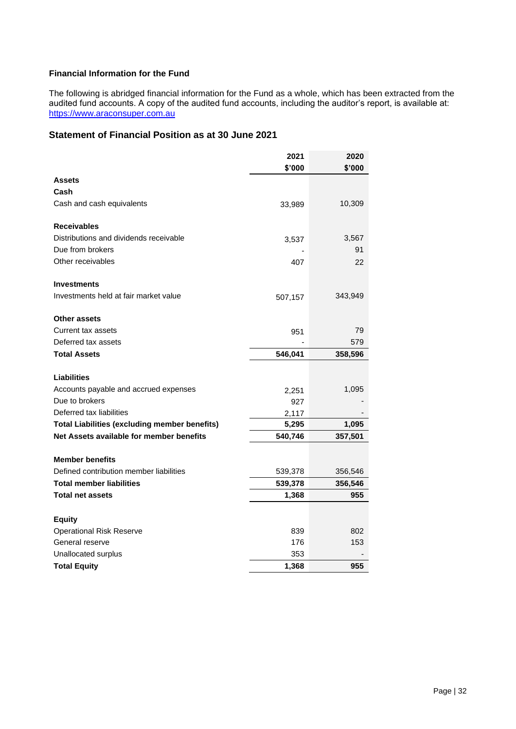## **Financial Information for the Fund**

The following is abridged financial information for the Fund as a whole, which has been extracted from the audited fund accounts. A copy of the audited fund accounts, including the auditor's report, is available at: [https://www.araconsuper.com.au](https://www.araconsuper.com.au/)

## **Statement of Financial Position as at 30 June 2021**

|                                                      | 2021    | 2020    |
|------------------------------------------------------|---------|---------|
|                                                      | \$'000  | \$'000  |
| Assets                                               |         |         |
| Cash                                                 |         |         |
| Cash and cash equivalents                            | 33,989  | 10,309  |
| <b>Receivables</b>                                   |         |         |
| Distributions and dividends receivable               | 3,537   | 3,567   |
| Due from brokers                                     |         | 91      |
| Other receivables                                    | 407     | 22      |
| <b>Investments</b>                                   |         |         |
| Investments held at fair market value                | 507,157 | 343,949 |
| Other assets                                         |         |         |
| Current tax assets                                   | 951     | 79      |
| Deferred tax assets                                  |         | 579     |
| <b>Total Assets</b>                                  | 546,041 | 358,596 |
| Liabilities                                          |         |         |
| Accounts payable and accrued expenses                | 2,251   | 1,095   |
| Due to brokers                                       | 927     |         |
| Deferred tax liabilities                             | 2,117   |         |
| <b>Total Liabilities (excluding member benefits)</b> | 5,295   | 1,095   |
| Net Assets available for member benefits             | 540,746 | 357,501 |
|                                                      |         |         |
| <b>Member benefits</b>                               |         |         |
| Defined contribution member liabilities              | 539,378 | 356,546 |
| <b>Total member liabilities</b>                      | 539,378 | 356,546 |
| <b>Total net assets</b>                              | 1,368   | 955     |
| <b>Equity</b>                                        |         |         |
| <b>Operational Risk Reserve</b>                      | 839     | 802     |
| General reserve                                      | 176     | 153     |
| Unallocated surplus                                  | 353     |         |
| <b>Total Equity</b>                                  | 1,368   | 955     |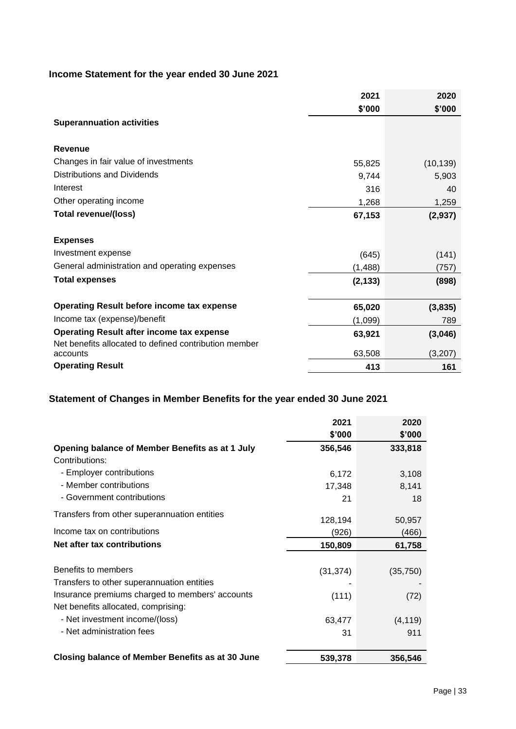## **Income Statement for the year ended 30 June 2021**

|                                                                                                           | 2021     | 2020      |
|-----------------------------------------------------------------------------------------------------------|----------|-----------|
|                                                                                                           | \$'000   | \$'000    |
| <b>Superannuation activities</b>                                                                          |          |           |
| <b>Revenue</b>                                                                                            |          |           |
| Changes in fair value of investments                                                                      | 55,825   | (10, 139) |
| Distributions and Dividends                                                                               | 9,744    | 5,903     |
| Interest                                                                                                  | 316      | 40        |
| Other operating income                                                                                    | 1,268    | 1,259     |
| <b>Total revenue/(loss)</b>                                                                               | 67,153   | (2,937)   |
| <b>Expenses</b>                                                                                           |          |           |
| Investment expense                                                                                        | (645)    | (141)     |
| General administration and operating expenses                                                             | (1, 488) | (757)     |
| <b>Total expenses</b>                                                                                     | (2, 133) | (898)     |
| <b>Operating Result before income tax expense</b>                                                         | 65,020   | (3,835)   |
| Income tax (expense)/benefit                                                                              | (1,099)  | 789       |
| <b>Operating Result after income tax expense</b><br>Net benefits allocated to defined contribution member | 63,921   | (3,046)   |
| accounts                                                                                                  | 63,508   | (3,207)   |
| <b>Operating Result</b>                                                                                   | 413      | 161       |

## **Statement of Changes in Member Benefits for the year ended 30 June 2021**

|                                                  | 2021      | 2020      |
|--------------------------------------------------|-----------|-----------|
|                                                  | \$'000    | \$'000    |
| Opening balance of Member Benefits as at 1 July  | 356,546   | 333,818   |
| Contributions:                                   |           |           |
| - Employer contributions                         | 6,172     | 3,108     |
| - Member contributions                           | 17,348    | 8,141     |
| - Government contributions                       | 21        | 18        |
| Transfers from other superannuation entities     |           |           |
|                                                  | 128,194   | 50,957    |
| Income tax on contributions                      | (926)     | (466)     |
| Net after tax contributions                      | 150,809   | 61,758    |
|                                                  |           |           |
| Benefits to members                              | (31, 374) | (35, 750) |
| Transfers to other superannuation entities       |           |           |
| Insurance premiums charged to members' accounts  | (111)     | (72)      |
| Net benefits allocated, comprising:              |           |           |
| - Net investment income/(loss)                   | 63,477    | (4, 119)  |
| - Net administration fees                        | 31        | 911       |
| Closing balance of Member Benefits as at 30 June | 539,378   | 356,546   |